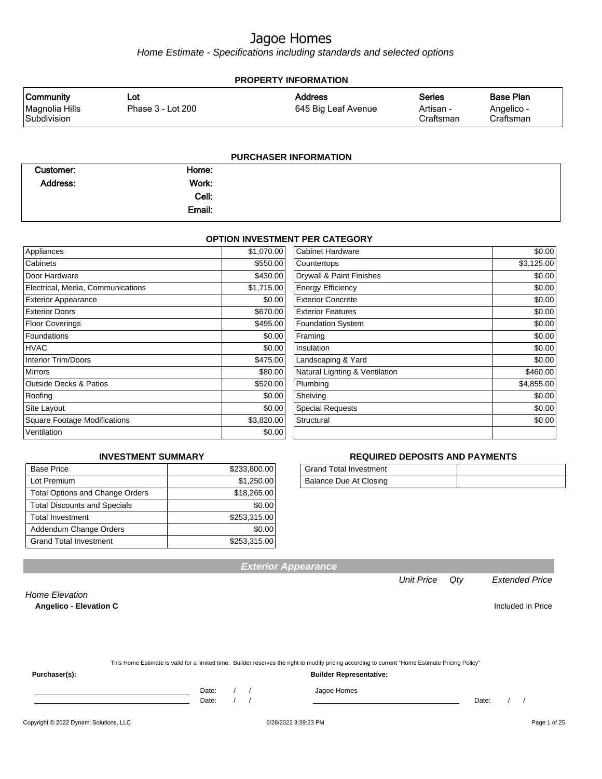Home Estimate - Specifications including standards and selected options

| <b>PROPERTY INFORMATION</b>                       |                          |                                       |                                  |                                             |  |  |  |
|---------------------------------------------------|--------------------------|---------------------------------------|----------------------------------|---------------------------------------------|--|--|--|
| <b>Community</b><br>Magnolia Hills<br>Subdivision | Lot<br>Phase 3 - Lot 200 | <b>Address</b><br>645 Big Leaf Avenue | Series<br>Artisan -<br>Craftsman | <b>Base Plan</b><br>Angelico -<br>Craftsman |  |  |  |
| <b>PURCHASER INFORMATION</b>                      |                          |                                       |                                  |                                             |  |  |  |

| Customer:       | Home:  |  |
|-----------------|--------|--|
| <b>Address:</b> | Work:  |  |
|                 | Cell:  |  |
|                 | Email: |  |

#### **OPTION INVESTMENT PER CATEGORY**

| Appliances                          | \$1,070.00 | Cabinet Hardware               | \$0.00     |
|-------------------------------------|------------|--------------------------------|------------|
| Cabinets                            | \$550.00   | Countertops                    | \$3,125.00 |
| Door Hardware                       | \$430.00   | Drywall & Paint Finishes       | \$0.00     |
| Electrical, Media, Communications   | \$1,715.00 | <b>Energy Efficiency</b>       | \$0.00     |
| <b>Exterior Appearance</b>          | \$0.00     | <b>Exterior Concrete</b>       | \$0.00     |
| <b>Exterior Doors</b>               | \$670.00   | <b>Exterior Features</b>       | \$0.00     |
| <b>Floor Coverings</b>              | \$495.00   | <b>Foundation System</b>       | \$0.00     |
| Foundations                         | \$0.00     | Framing                        | \$0.00     |
| <b>HVAC</b>                         | \$0.00     | Insulation                     | \$0.00     |
| <b>Interior Trim/Doors</b>          | \$475.00   | Landscaping & Yard             | \$0.00     |
| <b>Mirrors</b>                      | \$80.00    | Natural Lighting & Ventilation | \$460.00   |
| <b>Outside Decks &amp; Patios</b>   | \$520.00   | Plumbing                       | \$4,855.00 |
| Roofing                             | \$0.00     | Shelving                       | \$0.00     |
| Site Layout                         | \$0.00     | <b>Special Requests</b>        | \$0.00     |
| <b>Square Footage Modifications</b> | \$3,820.00 | Structural                     | \$0.00     |
| Ventilation                         | \$0.00     |                                |            |

#### **INVESTMENT SUMMARY**

| <b>Base Price</b>                      | \$233,800.00 |
|----------------------------------------|--------------|
| Lot Premium                            | \$1,250.00   |
| <b>Total Options and Change Orders</b> | \$18,265.00  |
| <b>Total Discounts and Specials</b>    | \$0.00       |
| <b>Total Investment</b>                | \$253,315.00 |
| Addendum Change Orders                 | \$0.00       |
| <b>Grand Total Investment</b>          | \$253,315.00 |

#### **REQUIRED DEPOSITS AND PAYMENTS**

| <b>Grand Total Investment</b> |  |
|-------------------------------|--|
| Balance Due At Closing        |  |

**Exterior Appearance**

Unit Price Qty Extended Price

Home Elevation

**Angelico - Elevation C** Included in Price

| This Home Estimate is valid for a limited time. Builder reserves the right to modify pricing according to current "Home Estimate Pricing Policy" |
|--------------------------------------------------------------------------------------------------------------------------------------------------|
|                                                                                                                                                  |

**Purchaser(s): Builder Representative:**

Date: / / Jagoe Homes<br>Date: / / Jagoe Homes

Date: / / Date: / /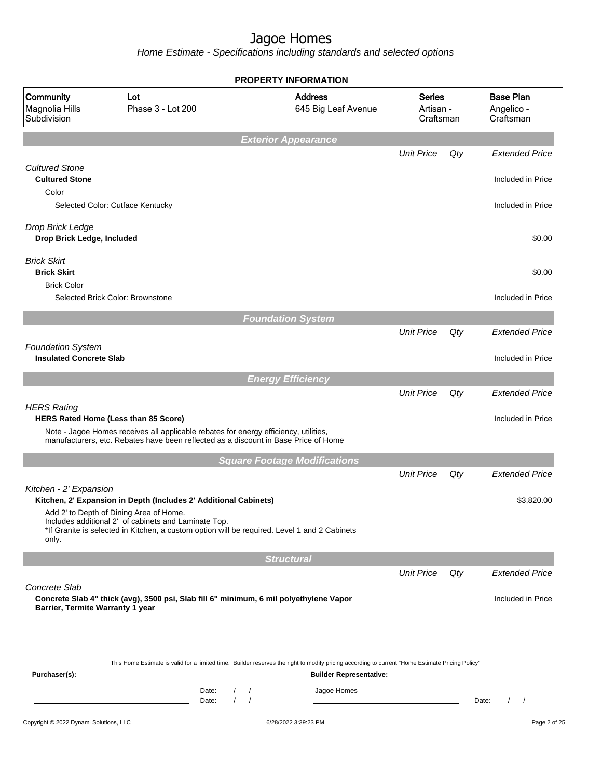|                                                            |                                                                                                                                                                                                 | <b>PROPERTY INFORMATION</b>                                                                                                                                                        |                                         |     |                                             |
|------------------------------------------------------------|-------------------------------------------------------------------------------------------------------------------------------------------------------------------------------------------------|------------------------------------------------------------------------------------------------------------------------------------------------------------------------------------|-----------------------------------------|-----|---------------------------------------------|
| Community<br>Magnolia Hills<br>Subdivision                 | Lot<br>Phase 3 - Lot 200                                                                                                                                                                        | <b>Address</b><br>645 Big Leaf Avenue                                                                                                                                              | <b>Series</b><br>Artisan -<br>Craftsman |     | <b>Base Plan</b><br>Angelico -<br>Craftsman |
|                                                            |                                                                                                                                                                                                 | <b>Exterior Appearance</b>                                                                                                                                                         |                                         |     |                                             |
|                                                            |                                                                                                                                                                                                 |                                                                                                                                                                                    | <b>Unit Price</b>                       | Qty | <b>Extended Price</b>                       |
| <b>Cultured Stone</b><br><b>Cultured Stone</b><br>Color    |                                                                                                                                                                                                 |                                                                                                                                                                                    |                                         |     | Included in Price                           |
|                                                            | Selected Color: Cutface Kentucky                                                                                                                                                                |                                                                                                                                                                                    |                                         |     | Included in Price                           |
| Drop Brick Ledge<br>Drop Brick Ledge, Included             |                                                                                                                                                                                                 |                                                                                                                                                                                    |                                         |     | \$0.00                                      |
| <b>Brick Skirt</b><br><b>Brick Skirt</b>                   |                                                                                                                                                                                                 |                                                                                                                                                                                    |                                         |     | \$0.00                                      |
| <b>Brick Color</b>                                         | Selected Brick Color: Brownstone                                                                                                                                                                |                                                                                                                                                                                    |                                         |     | Included in Price                           |
|                                                            |                                                                                                                                                                                                 | <b>Foundation System</b>                                                                                                                                                           |                                         |     |                                             |
|                                                            |                                                                                                                                                                                                 |                                                                                                                                                                                    | <b>Unit Price</b>                       | Qty | <b>Extended Price</b>                       |
| <b>Foundation System</b><br><b>Insulated Concrete Slab</b> |                                                                                                                                                                                                 |                                                                                                                                                                                    |                                         |     | Included in Price                           |
|                                                            |                                                                                                                                                                                                 | <b>Energy Efficiency</b>                                                                                                                                                           |                                         |     |                                             |
|                                                            |                                                                                                                                                                                                 |                                                                                                                                                                                    | <b>Unit Price</b>                       | Qty | <b>Extended Price</b>                       |
| <b>HERS Rating</b>                                         | HERS Rated Home (Less than 85 Score)<br>Note - Jagoe Homes receives all applicable rebates for energy efficiency, utilities,                                                                    |                                                                                                                                                                                    |                                         |     | Included in Price                           |
|                                                            | manufacturers, etc. Rebates have been reflected as a discount in Base Price of Home                                                                                                             |                                                                                                                                                                                    |                                         |     |                                             |
|                                                            |                                                                                                                                                                                                 | <b>Square Footage Modifications</b>                                                                                                                                                | <b>Unit Price</b>                       | Qty | <b>Extended Price</b>                       |
| Kitchen - 2' Expansion                                     | Kitchen, 2' Expansion in Depth (Includes 2' Additional Cabinets)                                                                                                                                |                                                                                                                                                                                    |                                         |     | \$3,820.00                                  |
| only.                                                      | Add 2' to Depth of Dining Area of Home.<br>Includes additional 2' of cabinets and Laminate Top.<br>*If Granite is selected in Kitchen, a custom option will be required. Level 1 and 2 Cabinets |                                                                                                                                                                                    |                                         |     |                                             |
|                                                            |                                                                                                                                                                                                 | <b>Structural</b>                                                                                                                                                                  |                                         |     |                                             |
|                                                            |                                                                                                                                                                                                 |                                                                                                                                                                                    | <b>Unit Price</b>                       | Qty | <b>Extended Price</b>                       |
| Concrete Slab<br>Barrier, Termite Warranty 1 year          | Concrete Slab 4" thick (avg), 3500 psi, Slab fill 6" minimum, 6 mil polyethylene Vapor                                                                                                          |                                                                                                                                                                                    |                                         |     | Included in Price                           |
| Purchaser(s):                                              |                                                                                                                                                                                                 | This Home Estimate is valid for a limited time. Builder reserves the right to modify pricing according to current "Home Estimate Pricing Policy"<br><b>Builder Representative:</b> |                                         |     |                                             |
|                                                            | Date:<br><u> 1989 - Johann Barn, mars ann an t-Aonaich an t-Aonaich an t-Aonaich an t-Aonaich an t-Aonaich ann an t-Aonaich</u><br>$\prime$<br>Date:                                            | Jagoe Homes<br>$\overline{1}$<br>$\sqrt{ }$                                                                                                                                        |                                         |     | Date:<br>$\prime$<br>$\prime$               |
| Copyright © 2022 Dynami Solutions, LLC                     |                                                                                                                                                                                                 | 6/28/2022 3:39:23 PM                                                                                                                                                               |                                         |     | Page 2 of 25                                |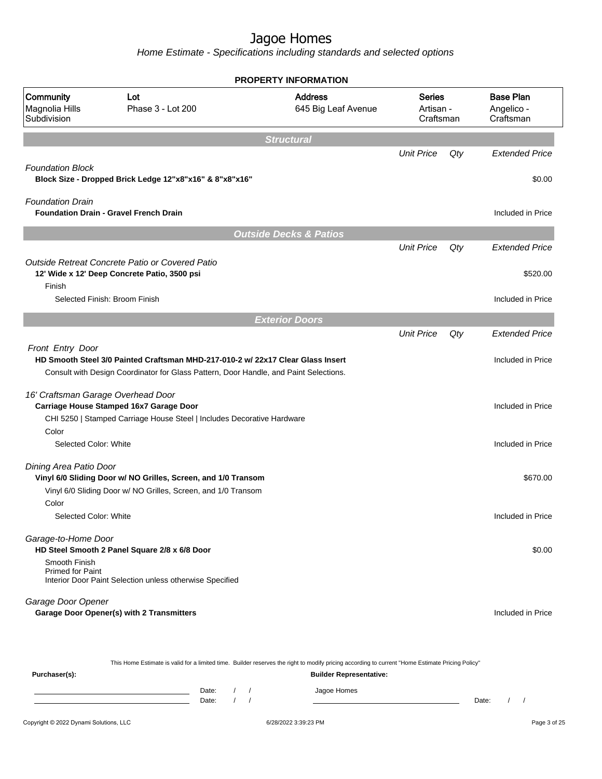Home Estimate - Specifications including standards and selected options

|                                                 |                                                                                                                                                                          | <b>PROPERTY INFORMATION</b>                                                                                                                      |                   |                                             |                       |
|-------------------------------------------------|--------------------------------------------------------------------------------------------------------------------------------------------------------------------------|--------------------------------------------------------------------------------------------------------------------------------------------------|-------------------|---------------------------------------------|-----------------------|
| Community<br>Magnolia Hills<br>Subdivision      | Lot<br>Phase 3 - Lot 200                                                                                                                                                 | <b>Address</b><br><b>Series</b><br>645 Big Leaf Avenue<br>Artisan -<br>Craftsman                                                                 |                   | <b>Base Plan</b><br>Angelico -<br>Craftsman |                       |
|                                                 |                                                                                                                                                                          | <b>Structural</b>                                                                                                                                |                   |                                             |                       |
|                                                 |                                                                                                                                                                          |                                                                                                                                                  | <b>Unit Price</b> | Qty                                         | <b>Extended Price</b> |
| <b>Foundation Block</b>                         | Block Size - Dropped Brick Ledge 12"x8"x16" & 8"x8"x16"                                                                                                                  |                                                                                                                                                  |                   |                                             | \$0.00                |
| <b>Foundation Drain</b>                         | <b>Foundation Drain - Gravel French Drain</b>                                                                                                                            |                                                                                                                                                  |                   |                                             | Included in Price     |
|                                                 |                                                                                                                                                                          | <b>Outside Decks &amp; Patios</b>                                                                                                                |                   |                                             |                       |
|                                                 |                                                                                                                                                                          |                                                                                                                                                  | <b>Unit Price</b> | Qty                                         | <b>Extended Price</b> |
|                                                 | Outside Retreat Concrete Patio or Covered Patio                                                                                                                          |                                                                                                                                                  |                   |                                             |                       |
|                                                 | 12' Wide x 12' Deep Concrete Patio, 3500 psi                                                                                                                             |                                                                                                                                                  |                   |                                             | \$520.00              |
| Finish                                          | Selected Finish: Broom Finish                                                                                                                                            |                                                                                                                                                  |                   |                                             | Included in Price     |
|                                                 |                                                                                                                                                                          |                                                                                                                                                  |                   |                                             |                       |
|                                                 |                                                                                                                                                                          | <b>Exterior Doors</b>                                                                                                                            |                   |                                             |                       |
|                                                 |                                                                                                                                                                          |                                                                                                                                                  | <b>Unit Price</b> | Qty                                         | <b>Extended Price</b> |
| Front Entry Door                                | HD Smooth Steel 3/0 Painted Craftsman MHD-217-010-2 w/ 22x17 Clear Glass Insert<br>Consult with Design Coordinator for Glass Pattern, Door Handle, and Paint Selections. |                                                                                                                                                  |                   |                                             | Included in Price     |
| 16' Craftsman Garage Overhead Door              | Carriage House Stamped 16x7 Garage Door<br>CHI 5250   Stamped Carriage House Steel   Includes Decorative Hardware                                                        |                                                                                                                                                  |                   |                                             | Included in Price     |
| Color                                           |                                                                                                                                                                          |                                                                                                                                                  |                   |                                             |                       |
| Selected Color: White                           |                                                                                                                                                                          |                                                                                                                                                  |                   |                                             | Included in Price     |
| Dining Area Patio Door                          | Vinyl 6/0 Sliding Door w/ NO Grilles, Screen, and 1/0 Transom                                                                                                            |                                                                                                                                                  |                   |                                             | \$670.00              |
|                                                 | Vinyl 6/0 Sliding Door w/ NO Grilles, Screen, and 1/0 Transom                                                                                                            |                                                                                                                                                  |                   |                                             |                       |
| Color<br>Selected Color: White                  |                                                                                                                                                                          |                                                                                                                                                  |                   |                                             | Included in Price     |
| Garage-to-Home Door                             | HD Steel Smooth 2 Panel Square 2/8 x 6/8 Door                                                                                                                            |                                                                                                                                                  |                   |                                             | \$0.00                |
| Smooth Finish<br><b>Primed for Paint</b>        | Interior Door Paint Selection unless otherwise Specified                                                                                                                 |                                                                                                                                                  |                   |                                             |                       |
| Garage Door Opener                              | Garage Door Opener(s) with 2 Transmitters                                                                                                                                |                                                                                                                                                  |                   |                                             | Included in Price     |
|                                                 |                                                                                                                                                                          | This Home Estimate is valid for a limited time. Builder reserves the right to modify pricing according to current "Home Estimate Pricing Policy" |                   |                                             |                       |
| <b>Builder Representative:</b><br>Purchaser(s): |                                                                                                                                                                          |                                                                                                                                                  |                   |                                             |                       |

Date: / / Jagoe Homes<br>Date: / / Jagoe Homes Date: / / Date: / /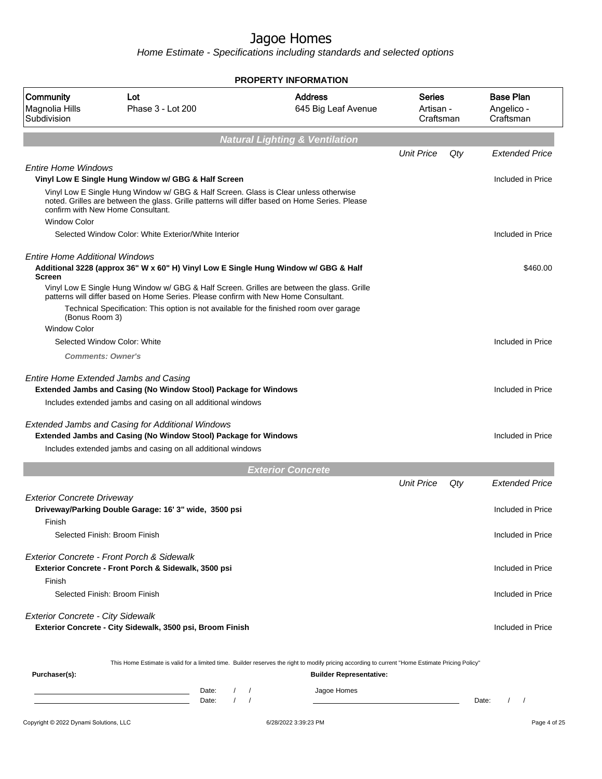|                                                 |                                                                                                                                                                                                                                                                              | <b>PROPERTY INFORMATION</b>                                                                                                                                                        |                                         |     |                                             |
|-------------------------------------------------|------------------------------------------------------------------------------------------------------------------------------------------------------------------------------------------------------------------------------------------------------------------------------|------------------------------------------------------------------------------------------------------------------------------------------------------------------------------------|-----------------------------------------|-----|---------------------------------------------|
| Community<br>Magnolia Hills<br>Subdivision      | Lot<br>Phase 3 - Lot 200                                                                                                                                                                                                                                                     | <b>Address</b><br>645 Big Leaf Avenue                                                                                                                                              | <b>Series</b><br>Artisan -<br>Craftsman |     | <b>Base Plan</b><br>Angelico -<br>Craftsman |
|                                                 |                                                                                                                                                                                                                                                                              | <b>Natural Lighting &amp; Ventilation</b>                                                                                                                                          |                                         |     |                                             |
|                                                 |                                                                                                                                                                                                                                                                              |                                                                                                                                                                                    | <b>Unit Price</b>                       | Qty | <b>Extended Price</b>                       |
| <b>Entire Home Windows</b>                      | Vinyl Low E Single Hung Window w/ GBG & Half Screen                                                                                                                                                                                                                          |                                                                                                                                                                                    |                                         |     | Included in Price                           |
|                                                 | Vinyl Low E Single Hung Window w/ GBG & Half Screen. Glass is Clear unless otherwise<br>noted. Grilles are between the glass. Grille patterns will differ based on Home Series. Please<br>confirm with New Home Consultant.                                                  |                                                                                                                                                                                    |                                         |     |                                             |
| <b>Window Color</b>                             | Selected Window Color: White Exterior/White Interior                                                                                                                                                                                                                         |                                                                                                                                                                                    |                                         |     | Included in Price                           |
| <b>Entire Home Additional Windows</b><br>Screen | Additional 3228 (approx 36" W x 60" H) Vinyl Low E Single Hung Window w/ GBG & Half                                                                                                                                                                                          |                                                                                                                                                                                    |                                         |     | \$460.00                                    |
| (Bonus Room 3)                                  | Vinyl Low E Single Hung Window w/ GBG & Half Screen. Grilles are between the glass. Grille<br>patterns will differ based on Home Series. Please confirm with New Home Consultant.<br>Technical Specification: This option is not available for the finished room over garage |                                                                                                                                                                                    |                                         |     |                                             |
| <b>Window Color</b>                             |                                                                                                                                                                                                                                                                              |                                                                                                                                                                                    |                                         |     |                                             |
|                                                 | Selected Window Color: White                                                                                                                                                                                                                                                 |                                                                                                                                                                                    |                                         |     | Included in Price                           |
| <b>Comments: Owner's</b>                        |                                                                                                                                                                                                                                                                              |                                                                                                                                                                                    |                                         |     |                                             |
|                                                 | Entire Home Extended Jambs and Casing<br><b>Extended Jambs and Casing (No Window Stool) Package for Windows</b>                                                                                                                                                              |                                                                                                                                                                                    |                                         |     | Included in Price                           |
|                                                 | Includes extended jambs and casing on all additional windows                                                                                                                                                                                                                 |                                                                                                                                                                                    |                                         |     |                                             |
|                                                 | Extended Jambs and Casing for Additional Windows<br><b>Extended Jambs and Casing (No Window Stool) Package for Windows</b>                                                                                                                                                   |                                                                                                                                                                                    |                                         |     | Included in Price                           |
|                                                 | Includes extended jambs and casing on all additional windows                                                                                                                                                                                                                 |                                                                                                                                                                                    |                                         |     |                                             |
|                                                 |                                                                                                                                                                                                                                                                              | <b>Exterior Concrete</b>                                                                                                                                                           |                                         |     |                                             |
|                                                 |                                                                                                                                                                                                                                                                              |                                                                                                                                                                                    | <b>Unit Price</b>                       | Qty | <b>Extended Price</b>                       |
| <b>Exterior Concrete Driveway</b><br>Finish     | Driveway/Parking Double Garage: 16' 3" wide, 3500 psi                                                                                                                                                                                                                        |                                                                                                                                                                                    |                                         |     | Included in Price                           |
|                                                 | Selected Finish: Broom Finish                                                                                                                                                                                                                                                |                                                                                                                                                                                    |                                         |     | Included in Price                           |
| Finish                                          | Exterior Concrete - Front Porch & Sidewalk<br>Exterior Concrete - Front Porch & Sidewalk, 3500 psi                                                                                                                                                                           |                                                                                                                                                                                    |                                         |     | Included in Price                           |
|                                                 | Selected Finish: Broom Finish                                                                                                                                                                                                                                                |                                                                                                                                                                                    |                                         |     | Included in Price                           |
| <b>Exterior Concrete - City Sidewalk</b>        | Exterior Concrete - City Sidewalk, 3500 psi, Broom Finish                                                                                                                                                                                                                    |                                                                                                                                                                                    |                                         |     | Included in Price                           |
| Purchaser(s):                                   |                                                                                                                                                                                                                                                                              | This Home Estimate is valid for a limited time. Builder reserves the right to modify pricing according to current "Home Estimate Pricing Policy"<br><b>Builder Representative:</b> |                                         |     |                                             |
|                                                 | $\sqrt{2}$<br>Date:<br>Date:                                                                                                                                                                                                                                                 | Jagoe Homes<br>$\sqrt{2}$                                                                                                                                                          |                                         |     | $\sqrt{ }$<br>$\prime$<br>Date:             |
| Copyright © 2022 Dynami Solutions, LLC          |                                                                                                                                                                                                                                                                              | 6/28/2022 3:39:23 PM                                                                                                                                                               |                                         |     | Page 4 of 25                                |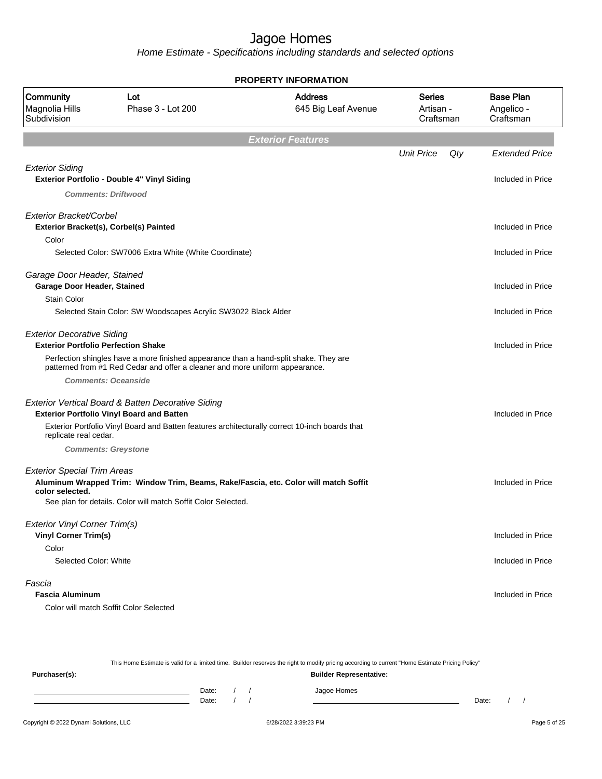|                                                                                 |                                                                                                                                                                       | <b>PROPERTY INFORMATION</b>           |                                         |     |                                             |
|---------------------------------------------------------------------------------|-----------------------------------------------------------------------------------------------------------------------------------------------------------------------|---------------------------------------|-----------------------------------------|-----|---------------------------------------------|
| Community<br>Magnolia Hills<br>Subdivision                                      | Lot<br>Phase 3 - Lot 200                                                                                                                                              | <b>Address</b><br>645 Big Leaf Avenue | <b>Series</b><br>Artisan -<br>Craftsman |     | <b>Base Plan</b><br>Angelico -<br>Craftsman |
|                                                                                 |                                                                                                                                                                       | <b>Exterior Features</b>              |                                         |     |                                             |
|                                                                                 |                                                                                                                                                                       |                                       | <b>Unit Price</b>                       | Qty | <b>Extended Price</b>                       |
| <b>Exterior Siding</b>                                                          |                                                                                                                                                                       |                                       |                                         |     |                                             |
|                                                                                 | Exterior Portfolio - Double 4" Vinyl Siding                                                                                                                           |                                       |                                         |     | Included in Price                           |
|                                                                                 | <b>Comments: Driftwood</b>                                                                                                                                            |                                       |                                         |     |                                             |
| Exterior Bracket/Corbel                                                         | Exterior Bracket(s), Corbel(s) Painted                                                                                                                                |                                       |                                         |     | Included in Price                           |
| Color                                                                           |                                                                                                                                                                       |                                       |                                         |     |                                             |
|                                                                                 | Selected Color: SW7006 Extra White (White Coordinate)                                                                                                                 |                                       |                                         |     | Included in Price                           |
| Garage Door Header, Stained<br>Garage Door Header, Stained                      |                                                                                                                                                                       |                                       |                                         |     | Included in Price                           |
| <b>Stain Color</b>                                                              |                                                                                                                                                                       |                                       |                                         |     |                                             |
|                                                                                 | Selected Stain Color: SW Woodscapes Acrylic SW3022 Black Alder                                                                                                        |                                       |                                         |     | Included in Price                           |
| <b>Exterior Decorative Siding</b><br><b>Exterior Portfolio Perfection Shake</b> |                                                                                                                                                                       |                                       |                                         |     | Included in Price                           |
|                                                                                 | Perfection shingles have a more finished appearance than a hand-split shake. They are<br>patterned from #1 Red Cedar and offer a cleaner and more uniform appearance. |                                       |                                         |     |                                             |
|                                                                                 | <b>Comments: Oceanside</b>                                                                                                                                            |                                       |                                         |     |                                             |
|                                                                                 | Exterior Vertical Board & Batten Decorative Siding                                                                                                                    |                                       |                                         |     |                                             |
|                                                                                 | <b>Exterior Portfolio Vinyl Board and Batten</b>                                                                                                                      |                                       |                                         |     | Included in Price                           |
| replicate real cedar.                                                           | Exterior Portfolio Vinyl Board and Batten features architecturally correct 10-inch boards that                                                                        |                                       |                                         |     |                                             |
|                                                                                 | <b>Comments: Greystone</b>                                                                                                                                            |                                       |                                         |     |                                             |
| <b>Exterior Special Trim Areas</b><br>color selected.                           | Aluminum Wrapped Trim: Window Trim, Beams, Rake/Fascia, etc. Color will match Soffit<br>See plan for details. Color will match Soffit Color Selected.                 |                                       |                                         |     | Included in Price                           |
|                                                                                 |                                                                                                                                                                       |                                       |                                         |     |                                             |
| <b>Exterior Vinyl Corner Trim(s)</b><br><b>Vinyl Corner Trim(s)</b>             |                                                                                                                                                                       |                                       |                                         |     | Included in Price                           |
| Color                                                                           |                                                                                                                                                                       |                                       |                                         |     |                                             |
| Selected Color: White                                                           |                                                                                                                                                                       |                                       |                                         |     | Included in Price                           |
| Fascia                                                                          |                                                                                                                                                                       |                                       |                                         |     |                                             |
| <b>Fascia Aluminum</b>                                                          |                                                                                                                                                                       |                                       |                                         |     | Included in Price                           |
|                                                                                 | Color will match Soffit Color Selected                                                                                                                                |                                       |                                         |     |                                             |

| This Home Estimate is valid for a limited time. Builder reserves the right to modify pricing according to current "Home Estimate Pricing Policy" |       |  |  |  |                                |       |  |
|--------------------------------------------------------------------------------------------------------------------------------------------------|-------|--|--|--|--------------------------------|-------|--|
| Purchaser(s):                                                                                                                                    |       |  |  |  | <b>Builder Representative:</b> |       |  |
|                                                                                                                                                  | Date: |  |  |  | Jagoe Homes                    |       |  |
|                                                                                                                                                  | Date: |  |  |  |                                | Date: |  |
|                                                                                                                                                  |       |  |  |  |                                |       |  |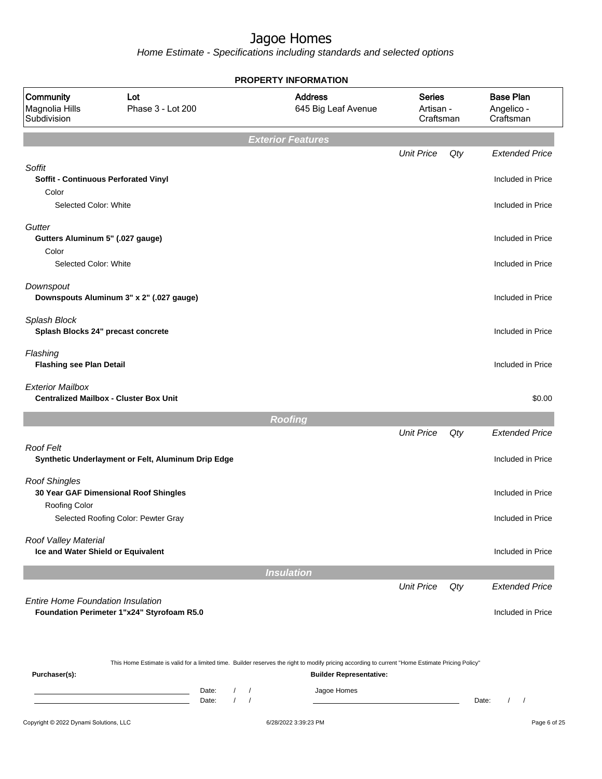Home Estimate - Specifications including standards and selected options

|                                                    |                                                    | <b>PROPERTY INFORMATION</b>                                                                                                                      |                                         |     |                                             |
|----------------------------------------------------|----------------------------------------------------|--------------------------------------------------------------------------------------------------------------------------------------------------|-----------------------------------------|-----|---------------------------------------------|
| <b>Community</b><br>Magnolia Hills<br>Subdivision  | Lot<br>Phase 3 - Lot 200                           | <b>Address</b><br>645 Big Leaf Avenue                                                                                                            | <b>Series</b><br>Artisan -<br>Craftsman |     | <b>Base Plan</b><br>Angelico -<br>Craftsman |
|                                                    |                                                    | <b>Exterior Features</b>                                                                                                                         |                                         |     |                                             |
|                                                    |                                                    |                                                                                                                                                  | <b>Unit Price</b>                       | Qty | <b>Extended Price</b>                       |
| Soffit<br>Soffit - Continuous Perforated Vinyl     |                                                    |                                                                                                                                                  |                                         |     | Included in Price                           |
| Color                                              |                                                    |                                                                                                                                                  |                                         |     |                                             |
| Selected Color: White                              |                                                    |                                                                                                                                                  |                                         |     | Included in Price                           |
| Gutter<br>Gutters Aluminum 5" (.027 gauge)         |                                                    |                                                                                                                                                  |                                         |     | Included in Price                           |
| Color                                              |                                                    |                                                                                                                                                  |                                         |     |                                             |
| Selected Color: White                              |                                                    |                                                                                                                                                  |                                         |     | Included in Price                           |
| Downspout                                          |                                                    |                                                                                                                                                  |                                         |     |                                             |
|                                                    | Downspouts Aluminum 3" x 2" (.027 gauge)           |                                                                                                                                                  |                                         |     | Included in Price                           |
| Splash Block<br>Splash Blocks 24" precast concrete |                                                    |                                                                                                                                                  |                                         |     | Included in Price                           |
| Flashing<br><b>Flashing see Plan Detail</b>        |                                                    |                                                                                                                                                  |                                         |     | Included in Price                           |
| <b>Exterior Mailbox</b>                            | <b>Centralized Mailbox - Cluster Box Unit</b>      |                                                                                                                                                  |                                         |     | \$0.00                                      |
|                                                    |                                                    | <b>Roofing</b>                                                                                                                                   |                                         |     |                                             |
|                                                    |                                                    |                                                                                                                                                  | <b>Unit Price</b>                       | Qty | <b>Extended Price</b>                       |
| <b>Roof Felt</b>                                   | Synthetic Underlayment or Felt, Aluminum Drip Edge |                                                                                                                                                  |                                         |     | Included in Price                           |
| <b>Roof Shingles</b>                               |                                                    |                                                                                                                                                  |                                         |     |                                             |
| Roofing Color                                      | 30 Year GAF Dimensional Roof Shingles              |                                                                                                                                                  |                                         |     | Included in Price                           |
|                                                    | Selected Roofing Color: Pewter Gray                |                                                                                                                                                  |                                         |     | Included in Price                           |
| Roof Valley Material                               |                                                    |                                                                                                                                                  |                                         |     |                                             |
| Ice and Water Shield or Equivalent                 |                                                    |                                                                                                                                                  |                                         |     | Included in Price                           |
|                                                    |                                                    | <b>Insulation</b>                                                                                                                                |                                         |     |                                             |
|                                                    |                                                    |                                                                                                                                                  | <b>Unit Price</b>                       | Qty | <b>Extended Price</b>                       |
| <b>Entire Home Foundation Insulation</b>           | Foundation Perimeter 1"x24" Styrofoam R5.0         |                                                                                                                                                  |                                         |     | Included in Price                           |
|                                                    |                                                    |                                                                                                                                                  |                                         |     |                                             |
|                                                    |                                                    | This Home Estimate is valid for a limited time. Builder reserves the right to modify pricing according to current "Home Estimate Pricing Policy" |                                         |     |                                             |
| Purchaser(s):                                      |                                                    | <b>Builder Representative:</b>                                                                                                                   |                                         |     |                                             |

Date: / / Jagoe Homes<br>Date: / / Jagoe Homes Date: / / **Date: / / 2006** Date: / / **Date: / / / 2006** Date: / / / 2006 Date: / / / 2006 Date: / / / 2006 Date: / / / 2007 Date: / / / 2007 Date: / / / 2008 Date: / / / 2008 Date: / / / 2008 Date: / / / 2008 Date: / / / 2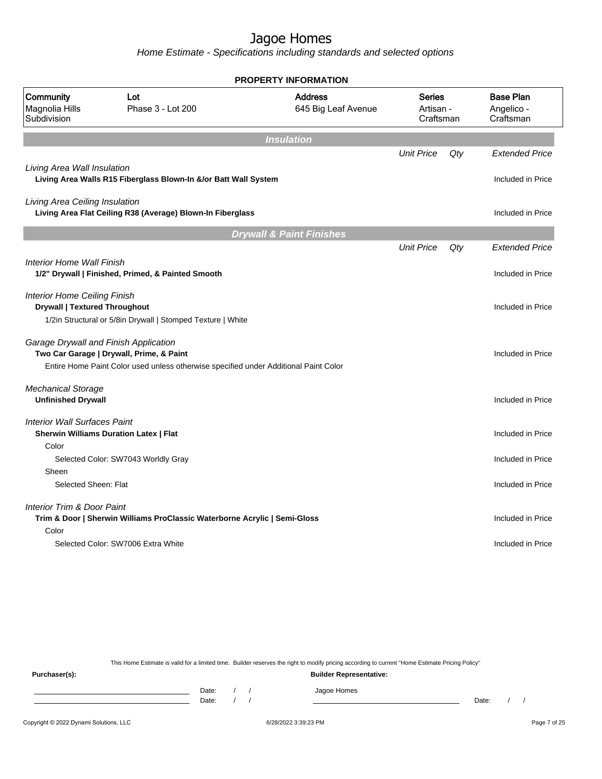Home Estimate - Specifications including standards and selected options

|                                                                             |                                                                                      | PROPERTY INFORMATION                  |                                         |     |                                             |
|-----------------------------------------------------------------------------|--------------------------------------------------------------------------------------|---------------------------------------|-----------------------------------------|-----|---------------------------------------------|
| Community<br>Magnolia Hills<br>Subdivision                                  | Lot<br>Phase 3 - Lot 200                                                             | <b>Address</b><br>645 Big Leaf Avenue | <b>Series</b><br>Artisan -<br>Craftsman |     | <b>Base Plan</b><br>Angelico -<br>Craftsman |
|                                                                             |                                                                                      | <b>Insulation</b>                     |                                         |     |                                             |
|                                                                             |                                                                                      |                                       | <b>Unit Price</b>                       | Qty | <b>Extended Price</b>                       |
| Living Area Wall Insulation                                                 | Living Area Walls R15 Fiberglass Blown-In &/or Batt Wall System                      |                                       |                                         |     | Included in Price                           |
| Living Area Ceiling Insulation                                              | Living Area Flat Ceiling R38 (Average) Blown-In Fiberglass                           |                                       |                                         |     | Included in Price                           |
|                                                                             |                                                                                      | <b>Drywall &amp; Paint Finishes</b>   |                                         |     |                                             |
|                                                                             |                                                                                      |                                       | <b>Unit Price</b>                       | Qty | <b>Extended Price</b>                       |
| Interior Home Wall Finish                                                   | 1/2" Drywall   Finished, Primed, & Painted Smooth                                    |                                       |                                         |     | Included in Price                           |
| <b>Interior Home Ceiling Finish</b><br><b>Drywall   Textured Throughout</b> |                                                                                      |                                       |                                         |     | Included in Price                           |
|                                                                             | 1/2in Structural or 5/8in Drywall   Stomped Texture   White                          |                                       |                                         |     |                                             |
| Garage Drywall and Finish Application                                       | Two Car Garage   Drywall, Prime, & Paint                                             |                                       |                                         |     | Included in Price                           |
|                                                                             | Entire Home Paint Color used unless otherwise specified under Additional Paint Color |                                       |                                         |     |                                             |
| <b>Mechanical Storage</b><br><b>Unfinished Drywall</b>                      |                                                                                      |                                       |                                         |     | Included in Price                           |
| <b>Interior Wall Surfaces Paint</b>                                         | Sherwin Williams Duration Latex   Flat                                               |                                       |                                         |     | Included in Price                           |
| Color                                                                       |                                                                                      |                                       |                                         |     |                                             |
|                                                                             | Selected Color: SW7043 Worldly Gray                                                  |                                       |                                         |     | Included in Price                           |
| Sheen<br>Selected Sheen: Flat                                               |                                                                                      |                                       |                                         |     | Included in Price                           |
| Interior Trim & Door Paint<br>Color                                         | Trim & Door   Sherwin Williams ProClassic Waterborne Acrylic   Semi-Gloss            |                                       |                                         |     | Included in Price                           |
|                                                                             | Selected Color: SW7006 Extra White                                                   |                                       |                                         |     | Included in Price                           |
|                                                                             |                                                                                      |                                       |                                         |     |                                             |

This Home Estimate is valid for a limited time. Builder reserves the right to modify pricing according to current "Home Estimate Pricing Policy"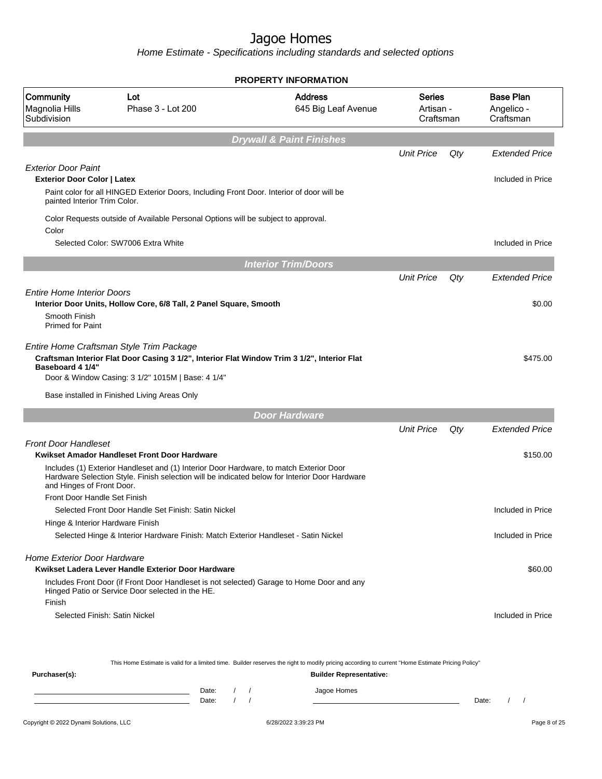Home Estimate - Specifications including standards and selected options

|                                                                                                  |                                                                                                                                                                                                                                              | <b>PROPERTY INFORMATION</b>                                                                                                                      |                                         |     |                                             |
|--------------------------------------------------------------------------------------------------|----------------------------------------------------------------------------------------------------------------------------------------------------------------------------------------------------------------------------------------------|--------------------------------------------------------------------------------------------------------------------------------------------------|-----------------------------------------|-----|---------------------------------------------|
| Community<br>Magnolia Hills<br>Subdivision                                                       | Lot<br>Phase 3 - Lot 200                                                                                                                                                                                                                     | <b>Address</b><br>645 Big Leaf Avenue                                                                                                            | <b>Series</b><br>Artisan -<br>Craftsman |     | <b>Base Plan</b><br>Angelico -<br>Craftsman |
|                                                                                                  |                                                                                                                                                                                                                                              | <b>Drywall &amp; Paint Finishes</b>                                                                                                              |                                         |     |                                             |
|                                                                                                  |                                                                                                                                                                                                                                              |                                                                                                                                                  | <b>Unit Price</b>                       | Qty | <b>Extended Price</b>                       |
| <b>Exterior Door Paint</b><br><b>Exterior Door Color   Latex</b><br>painted Interior Trim Color. | Paint color for all HINGED Exterior Doors, Including Front Door. Interior of door will be                                                                                                                                                    |                                                                                                                                                  |                                         |     | Included in Price                           |
| Color                                                                                            | Color Requests outside of Available Personal Options will be subject to approval.                                                                                                                                                            |                                                                                                                                                  |                                         |     |                                             |
|                                                                                                  | Selected Color: SW7006 Extra White                                                                                                                                                                                                           |                                                                                                                                                  |                                         |     | Included in Price                           |
|                                                                                                  |                                                                                                                                                                                                                                              | <b>Interior Trim/Doors</b>                                                                                                                       |                                         |     |                                             |
|                                                                                                  |                                                                                                                                                                                                                                              |                                                                                                                                                  | <b>Unit Price</b>                       | Qty | <b>Extended Price</b>                       |
| <b>Entire Home Interior Doors</b><br>Smooth Finish<br><b>Primed for Paint</b>                    | Interior Door Units, Hollow Core, 6/8 Tall, 2 Panel Square, Smooth                                                                                                                                                                           |                                                                                                                                                  |                                         |     | \$0.00                                      |
| <b>Baseboard 4 1/4"</b>                                                                          | Entire Home Craftsman Style Trim Package<br>Craftsman Interior Flat Door Casing 3 1/2", Interior Flat Window Trim 3 1/2", Interior Flat<br>Door & Window Casing: 3 1/2" 1015M   Base: 4 1/4"<br>Base installed in Finished Living Areas Only |                                                                                                                                                  |                                         |     | \$475.00                                    |
|                                                                                                  |                                                                                                                                                                                                                                              | <b>Door Hardware</b>                                                                                                                             |                                         |     |                                             |
|                                                                                                  |                                                                                                                                                                                                                                              |                                                                                                                                                  | <b>Unit Price</b>                       | Qty | <b>Extended Price</b>                       |
| <b>Front Door Handleset</b>                                                                      | Kwikset Amador Handleset Front Door Hardware                                                                                                                                                                                                 |                                                                                                                                                  |                                         |     | \$150.00                                    |
| and Hinges of Front Door.<br>Front Door Handle Set Finish                                        | Includes (1) Exterior Handleset and (1) Interior Door Hardware, to match Exterior Door<br>Hardware Selection Style. Finish selection will be indicated below for Interior Door Hardware                                                      |                                                                                                                                                  |                                         |     |                                             |
|                                                                                                  | Selected Front Door Handle Set Finish: Satin Nickel                                                                                                                                                                                          |                                                                                                                                                  |                                         |     | Included in Price                           |
| Hinge & Interior Hardware Finish                                                                 |                                                                                                                                                                                                                                              |                                                                                                                                                  |                                         |     |                                             |
|                                                                                                  | Selected Hinge & Interior Hardware Finish: Match Exterior Handleset - Satin Nickel                                                                                                                                                           |                                                                                                                                                  |                                         |     | Included in Price                           |
| <b>Home Exterior Door Hardware</b>                                                               | Kwikset Ladera Lever Handle Exterior Door Hardware                                                                                                                                                                                           |                                                                                                                                                  |                                         |     | \$60.00                                     |
| Finish                                                                                           | Includes Front Door (if Front Door Handleset is not selected) Garage to Home Door and any<br>Hinged Patio or Service Door selected in the HE.                                                                                                |                                                                                                                                                  |                                         |     |                                             |
| Selected Finish: Satin Nickel                                                                    |                                                                                                                                                                                                                                              |                                                                                                                                                  |                                         |     | Included in Price                           |
|                                                                                                  |                                                                                                                                                                                                                                              | This Home Estimate is valid for a limited time. Builder reserves the right to modify pricing according to current "Home Estimate Pricing Policy" |                                         |     |                                             |
| Purchaser(s):                                                                                    |                                                                                                                                                                                                                                              | <b>Builder Representative:</b>                                                                                                                   |                                         |     |                                             |

Date: / / Jagoe Homes<br>Date: / / Jagoe Homes Date: / / Date: / /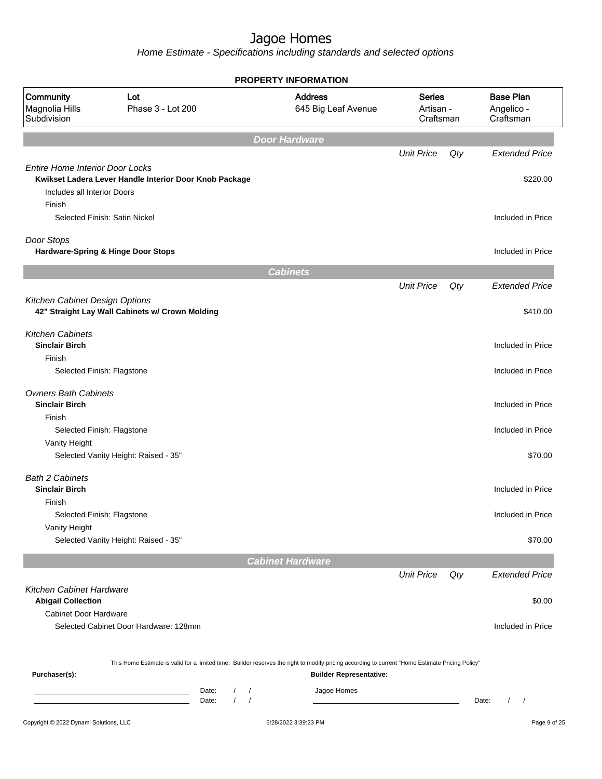|                                                                                 |                                                                                                                                                                                           |                                                | <b>PROPERTY INFORMATION</b>                                                      |                   |     |                                             |
|---------------------------------------------------------------------------------|-------------------------------------------------------------------------------------------------------------------------------------------------------------------------------------------|------------------------------------------------|----------------------------------------------------------------------------------|-------------------|-----|---------------------------------------------|
| Community<br>Magnolia Hills<br>Subdivision                                      | Lot<br>Phase 3 - Lot 200                                                                                                                                                                  |                                                | <b>Address</b><br><b>Series</b><br>645 Big Leaf Avenue<br>Artisan -<br>Craftsman |                   |     | <b>Base Plan</b><br>Angelico -<br>Craftsman |
|                                                                                 |                                                                                                                                                                                           |                                                | <b>Door Hardware</b>                                                             |                   |     |                                             |
|                                                                                 |                                                                                                                                                                                           |                                                |                                                                                  | <b>Unit Price</b> | Qty | <b>Extended Price</b>                       |
| <b>Entire Home Interior Door Locks</b><br>Includes all Interior Doors<br>Finish | Kwikset Ladera Lever Handle Interior Door Knob Package                                                                                                                                    |                                                |                                                                                  |                   |     | \$220.00                                    |
|                                                                                 | Selected Finish: Satin Nickel                                                                                                                                                             |                                                |                                                                                  |                   |     | Included in Price                           |
| Door Stops                                                                      | Hardware-Spring & Hinge Door Stops                                                                                                                                                        |                                                |                                                                                  |                   |     | Included in Price                           |
|                                                                                 |                                                                                                                                                                                           |                                                | <b>Cabinets</b>                                                                  |                   |     |                                             |
|                                                                                 |                                                                                                                                                                                           |                                                |                                                                                  | <b>Unit Price</b> | Qty | <b>Extended Price</b>                       |
| Kitchen Cabinet Design Options                                                  | 42" Straight Lay Wall Cabinets w/ Crown Molding                                                                                                                                           |                                                |                                                                                  |                   |     | \$410.00                                    |
| <b>Kitchen Cabinets</b><br><b>Sinclair Birch</b><br>Finish                      |                                                                                                                                                                                           |                                                |                                                                                  |                   |     | Included in Price                           |
| Selected Finish: Flagstone                                                      |                                                                                                                                                                                           |                                                |                                                                                  |                   |     | Included in Price                           |
| <b>Owners Bath Cabinets</b><br><b>Sinclair Birch</b>                            |                                                                                                                                                                                           |                                                |                                                                                  |                   |     | Included in Price                           |
| Finish<br>Selected Finish: Flagstone                                            |                                                                                                                                                                                           |                                                |                                                                                  |                   |     | Included in Price                           |
| Vanity Height                                                                   | Selected Vanity Height: Raised - 35"                                                                                                                                                      |                                                |                                                                                  |                   |     | \$70.00                                     |
| <b>Bath 2 Cabinets</b><br><b>Sinclair Birch</b>                                 |                                                                                                                                                                                           |                                                |                                                                                  |                   |     | Included in Price                           |
| Finish                                                                          |                                                                                                                                                                                           |                                                |                                                                                  |                   |     |                                             |
| Selected Finish: Flagstone<br>Vanity Height                                     |                                                                                                                                                                                           |                                                |                                                                                  |                   |     | Included in Price                           |
|                                                                                 | Selected Vanity Height: Raised - 35"                                                                                                                                                      |                                                |                                                                                  |                   |     | \$70.00                                     |
|                                                                                 |                                                                                                                                                                                           |                                                | <b>Cabinet Hardware</b>                                                          |                   |     |                                             |
|                                                                                 |                                                                                                                                                                                           |                                                |                                                                                  | <b>Unit Price</b> | Qty | <b>Extended Price</b>                       |
| Kitchen Cabinet Hardware<br><b>Abigail Collection</b>                           |                                                                                                                                                                                           |                                                |                                                                                  |                   |     | \$0.00                                      |
| Cabinet Door Hardware                                                           |                                                                                                                                                                                           |                                                |                                                                                  |                   |     |                                             |
|                                                                                 | Selected Cabinet Door Hardware: 128mm<br>This Home Estimate is valid for a limited time. Builder reserves the right to modify pricing according to current "Home Estimate Pricing Policy" |                                                |                                                                                  |                   |     | Included in Price                           |
| Purchaser(s):                                                                   | Date:<br>the control of the control of the control of<br>Date:                                                                                                                            | $\sqrt{2}$<br>$\prime$<br>$\prime$<br>$\prime$ | <b>Builder Representative:</b><br>Jagoe Homes                                    |                   |     | Date:<br>$\prime$<br>$\sqrt{ }$             |
| Copyright © 2022 Dynami Solutions, LLC                                          |                                                                                                                                                                                           |                                                | 6/28/2022 3:39:23 PM                                                             |                   |     | Page 9 of 25                                |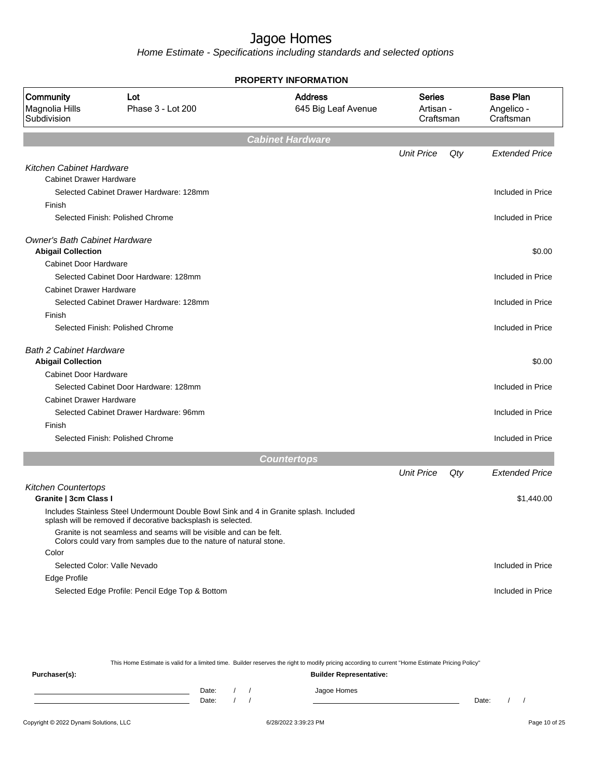Home Estimate - Specifications including standards and selected options

|                                            |                                                                                                                                                        | <b>PROPERTY INFORMATION</b>                                               |                   |                                             |                       |
|--------------------------------------------|--------------------------------------------------------------------------------------------------------------------------------------------------------|---------------------------------------------------------------------------|-------------------|---------------------------------------------|-----------------------|
| Community<br>Magnolia Hills<br>Subdivision | Lot<br>Phase 3 - Lot 200                                                                                                                               | <b>Address</b><br>Series<br>645 Big Leaf Avenue<br>Artisan -<br>Craftsman |                   | <b>Base Plan</b><br>Angelico -<br>Craftsman |                       |
|                                            |                                                                                                                                                        | <b>Cabinet Hardware</b>                                                   |                   |                                             |                       |
|                                            |                                                                                                                                                        |                                                                           | <b>Unit Price</b> | Qty                                         | <b>Extended Price</b> |
| Kitchen Cabinet Hardware                   |                                                                                                                                                        |                                                                           |                   |                                             |                       |
| <b>Cabinet Drawer Hardware</b>             |                                                                                                                                                        |                                                                           |                   |                                             |                       |
|                                            | Selected Cabinet Drawer Hardware: 128mm                                                                                                                |                                                                           |                   |                                             | Included in Price     |
| Finish                                     |                                                                                                                                                        |                                                                           |                   |                                             |                       |
|                                            | Selected Finish: Polished Chrome                                                                                                                       |                                                                           |                   |                                             | Included in Price     |
| <b>Owner's Bath Cabinet Hardware</b>       |                                                                                                                                                        |                                                                           |                   |                                             |                       |
| <b>Abigail Collection</b>                  |                                                                                                                                                        |                                                                           |                   |                                             | \$0.00                |
| <b>Cabinet Door Hardware</b>               |                                                                                                                                                        |                                                                           |                   |                                             |                       |
|                                            | Selected Cabinet Door Hardware: 128mm                                                                                                                  |                                                                           |                   |                                             | Included in Price     |
| <b>Cabinet Drawer Hardware</b>             |                                                                                                                                                        |                                                                           |                   |                                             |                       |
|                                            | Selected Cabinet Drawer Hardware: 128mm                                                                                                                |                                                                           |                   |                                             | Included in Price     |
| Finish                                     |                                                                                                                                                        |                                                                           |                   |                                             |                       |
|                                            | Selected Finish: Polished Chrome                                                                                                                       |                                                                           |                   |                                             | Included in Price     |
| <b>Bath 2 Cabinet Hardware</b>             |                                                                                                                                                        |                                                                           |                   |                                             |                       |
| <b>Abigail Collection</b>                  |                                                                                                                                                        |                                                                           |                   |                                             | \$0.00                |
| Cabinet Door Hardware                      |                                                                                                                                                        |                                                                           |                   |                                             |                       |
|                                            | Selected Cabinet Door Hardware: 128mm                                                                                                                  |                                                                           |                   |                                             | Included in Price     |
| <b>Cabinet Drawer Hardware</b>             |                                                                                                                                                        |                                                                           |                   |                                             |                       |
|                                            | Selected Cabinet Drawer Hardware: 96mm                                                                                                                 |                                                                           |                   |                                             | Included in Price     |
| Finish                                     |                                                                                                                                                        |                                                                           |                   |                                             |                       |
|                                            | Selected Finish: Polished Chrome                                                                                                                       |                                                                           |                   |                                             | Included in Price     |
|                                            |                                                                                                                                                        | <b>Countertops</b>                                                        |                   |                                             |                       |
|                                            |                                                                                                                                                        |                                                                           | <b>Unit Price</b> | Qty                                         | <b>Extended Price</b> |
| <b>Kitchen Countertops</b>                 |                                                                                                                                                        |                                                                           |                   |                                             |                       |
| Granite   3cm Class I                      |                                                                                                                                                        |                                                                           |                   |                                             | \$1,440.00            |
|                                            | Includes Stainless Steel Undermount Double Bowl Sink and 4 in Granite splash. Included<br>splash will be removed if decorative backsplash is selected. |                                                                           |                   |                                             |                       |
|                                            | Granite is not seamless and seams will be visible and can be felt.<br>Colors could vary from samples due to the nature of natural stone.               |                                                                           |                   |                                             |                       |
| Color                                      |                                                                                                                                                        |                                                                           |                   |                                             |                       |
|                                            | Selected Color: Valle Nevado                                                                                                                           |                                                                           |                   |                                             | Included in Price     |
| Edge Profile                               |                                                                                                                                                        |                                                                           |                   |                                             |                       |
|                                            | Selected Edge Profile: Pencil Edge Top & Bottom                                                                                                        |                                                                           |                   |                                             | Included in Price     |

This Home Estimate is valid for a limited time. Builder reserves the right to modify pricing according to current "Home Estimate Pricing Policy"

| Purchaser(s): |                |  | <b>Builder Representative:</b> |       |  |
|---------------|----------------|--|--------------------------------|-------|--|
|               | Date:<br>Date: |  | Jagoe Homes                    | Date: |  |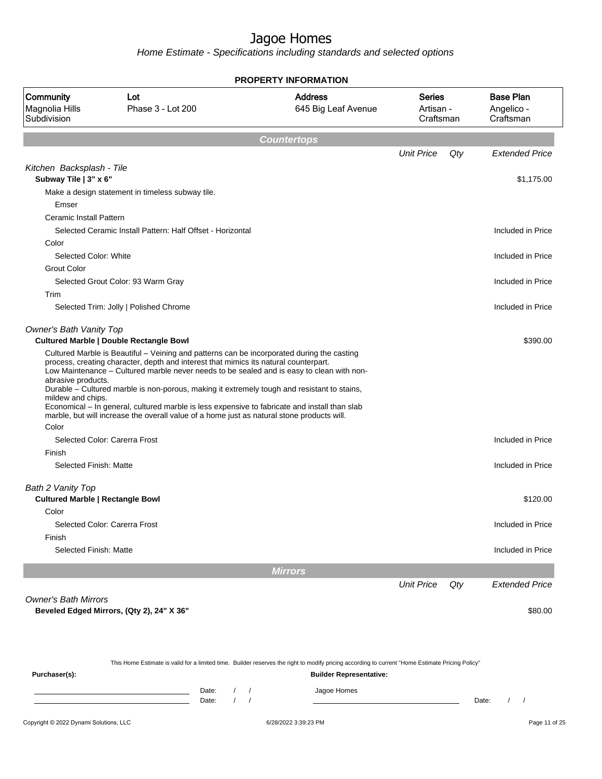|                                                  |                                                                                                                                                                                                                                                                                                                                                                                                                                                                                                                                                                               | <b>PROPERTY INFORMATION</b>           |                                  |     |                                             |
|--------------------------------------------------|-------------------------------------------------------------------------------------------------------------------------------------------------------------------------------------------------------------------------------------------------------------------------------------------------------------------------------------------------------------------------------------------------------------------------------------------------------------------------------------------------------------------------------------------------------------------------------|---------------------------------------|----------------------------------|-----|---------------------------------------------|
| Community<br>Magnolia Hills<br>Subdivision       | Lot<br>Phase 3 - Lot 200                                                                                                                                                                                                                                                                                                                                                                                                                                                                                                                                                      | <b>Address</b><br>645 Big Leaf Avenue | Series<br>Artisan -<br>Craftsman |     | <b>Base Plan</b><br>Angelico -<br>Craftsman |
|                                                  |                                                                                                                                                                                                                                                                                                                                                                                                                                                                                                                                                                               | <b>Countertops</b>                    |                                  |     |                                             |
|                                                  |                                                                                                                                                                                                                                                                                                                                                                                                                                                                                                                                                                               |                                       | <b>Unit Price</b>                | Qty | <b>Extended Price</b>                       |
| Kitchen Backsplash - Tile                        |                                                                                                                                                                                                                                                                                                                                                                                                                                                                                                                                                                               |                                       |                                  |     |                                             |
| Subway Tile   3" x 6"                            |                                                                                                                                                                                                                                                                                                                                                                                                                                                                                                                                                                               |                                       |                                  |     | \$1,175.00                                  |
|                                                  | Make a design statement in timeless subway tile.                                                                                                                                                                                                                                                                                                                                                                                                                                                                                                                              |                                       |                                  |     |                                             |
| Emser                                            |                                                                                                                                                                                                                                                                                                                                                                                                                                                                                                                                                                               |                                       |                                  |     |                                             |
| Ceramic Install Pattern                          |                                                                                                                                                                                                                                                                                                                                                                                                                                                                                                                                                                               |                                       |                                  |     |                                             |
|                                                  | Selected Ceramic Install Pattern: Half Offset - Horizontal                                                                                                                                                                                                                                                                                                                                                                                                                                                                                                                    |                                       |                                  |     | Included in Price                           |
| Color                                            |                                                                                                                                                                                                                                                                                                                                                                                                                                                                                                                                                                               |                                       |                                  |     |                                             |
| Selected Color: White                            |                                                                                                                                                                                                                                                                                                                                                                                                                                                                                                                                                                               |                                       |                                  |     | Included in Price                           |
| <b>Grout Color</b>                               |                                                                                                                                                                                                                                                                                                                                                                                                                                                                                                                                                                               |                                       |                                  |     |                                             |
|                                                  | Selected Grout Color: 93 Warm Gray                                                                                                                                                                                                                                                                                                                                                                                                                                                                                                                                            |                                       |                                  |     | Included in Price                           |
| Trim                                             |                                                                                                                                                                                                                                                                                                                                                                                                                                                                                                                                                                               |                                       |                                  |     |                                             |
|                                                  | Selected Trim: Jolly   Polished Chrome                                                                                                                                                                                                                                                                                                                                                                                                                                                                                                                                        |                                       |                                  |     | Included in Price                           |
| Owner's Bath Vanity Top                          |                                                                                                                                                                                                                                                                                                                                                                                                                                                                                                                                                                               |                                       |                                  |     |                                             |
|                                                  | <b>Cultured Marble   Double Rectangle Bowl</b>                                                                                                                                                                                                                                                                                                                                                                                                                                                                                                                                |                                       |                                  |     | \$390.00                                    |
| abrasive products.<br>mildew and chips.<br>Color | Cultured Marble is Beautiful - Veining and patterns can be incorporated during the casting<br>process, creating character, depth and interest that mimics its natural counterpart.<br>Low Maintenance - Cultured marble never needs to be sealed and is easy to clean with non-<br>Durable - Cultured marble is non-porous, making it extremely tough and resistant to stains,<br>Economical - In general, cultured marble is less expensive to fabricate and install than slab<br>marble, but will increase the overall value of a home just as natural stone products will. |                                       |                                  |     |                                             |
|                                                  | Selected Color: Carerra Frost                                                                                                                                                                                                                                                                                                                                                                                                                                                                                                                                                 |                                       |                                  |     | Included in Price                           |
| Finish                                           |                                                                                                                                                                                                                                                                                                                                                                                                                                                                                                                                                                               |                                       |                                  |     |                                             |
| Selected Finish: Matte                           |                                                                                                                                                                                                                                                                                                                                                                                                                                                                                                                                                                               |                                       |                                  |     | Included in Price                           |
|                                                  |                                                                                                                                                                                                                                                                                                                                                                                                                                                                                                                                                                               |                                       |                                  |     |                                             |
| Bath 2 Vanity Top                                |                                                                                                                                                                                                                                                                                                                                                                                                                                                                                                                                                                               |                                       |                                  |     |                                             |
| <b>Cultured Marble   Rectangle Bowl</b>          |                                                                                                                                                                                                                                                                                                                                                                                                                                                                                                                                                                               |                                       |                                  |     | \$120.00                                    |
| Color                                            |                                                                                                                                                                                                                                                                                                                                                                                                                                                                                                                                                                               |                                       |                                  |     |                                             |
|                                                  | Selected Color: Carerra Frost                                                                                                                                                                                                                                                                                                                                                                                                                                                                                                                                                 |                                       |                                  |     | Included in Price                           |
| Finish                                           |                                                                                                                                                                                                                                                                                                                                                                                                                                                                                                                                                                               |                                       |                                  |     |                                             |
| Selected Finish: Matte                           |                                                                                                                                                                                                                                                                                                                                                                                                                                                                                                                                                                               |                                       |                                  |     | Included in Price                           |
|                                                  |                                                                                                                                                                                                                                                                                                                                                                                                                                                                                                                                                                               | <b>Mirrors</b>                        |                                  |     |                                             |
|                                                  |                                                                                                                                                                                                                                                                                                                                                                                                                                                                                                                                                                               |                                       | <b>Unit Price</b>                | Qty | <b>Extended Price</b>                       |
| <b>Owner's Bath Mirrors</b>                      |                                                                                                                                                                                                                                                                                                                                                                                                                                                                                                                                                                               |                                       |                                  |     |                                             |
|                                                  | Beveled Edged Mirrors, (Qty 2), 24" X 36"                                                                                                                                                                                                                                                                                                                                                                                                                                                                                                                                     |                                       |                                  |     | \$80.00                                     |

|               | This Home Estimate is valid for a limited time. Builder reserves the right to modify pricing according to current "Home Estimate Pricing Policy" |                                |  |  |             |       |  |  |  |
|---------------|--------------------------------------------------------------------------------------------------------------------------------------------------|--------------------------------|--|--|-------------|-------|--|--|--|
| Purchaser(s): |                                                                                                                                                  | <b>Builder Representative:</b> |  |  |             |       |  |  |  |
|               |                                                                                                                                                  | Date:                          |  |  | Jagoe Homes |       |  |  |  |
|               |                                                                                                                                                  | Date:                          |  |  |             | Date: |  |  |  |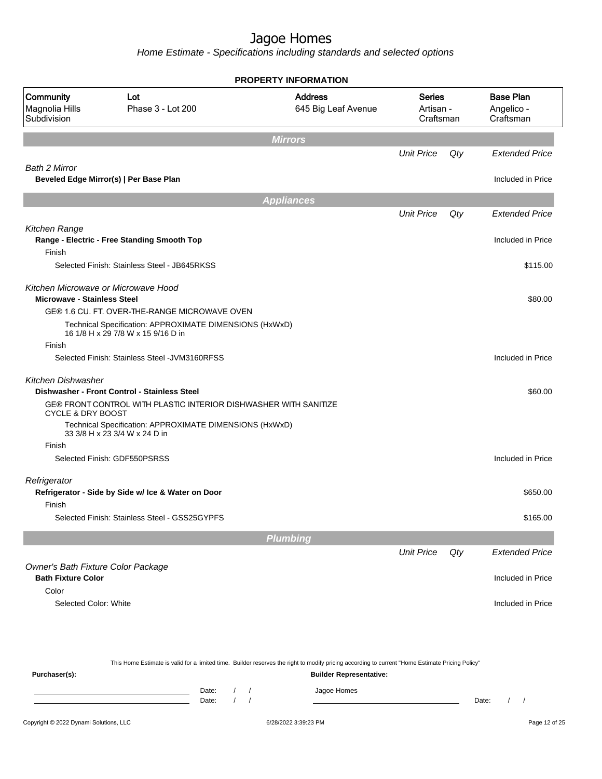|                                                   |                                                                                               | <b>PROPERTY INFORMATION</b>           |                                         |     |                                             |
|---------------------------------------------------|-----------------------------------------------------------------------------------------------|---------------------------------------|-----------------------------------------|-----|---------------------------------------------|
| <b>Community</b><br>Magnolia Hills<br>Subdivision | Lot<br>Phase 3 - Lot 200                                                                      | <b>Address</b><br>645 Big Leaf Avenue | <b>Series</b><br>Artisan -<br>Craftsman |     | <b>Base Plan</b><br>Angelico -<br>Craftsman |
|                                                   |                                                                                               | <b>Mirrors</b>                        |                                         |     |                                             |
|                                                   |                                                                                               |                                       | <b>Unit Price</b>                       | Qty | <b>Extended Price</b>                       |
| <b>Bath 2 Mirror</b>                              | Beveled Edge Mirror(s)   Per Base Plan                                                        |                                       |                                         |     | Included in Price                           |
|                                                   |                                                                                               | <b>Appliances</b>                     |                                         |     |                                             |
|                                                   |                                                                                               |                                       | <b>Unit Price</b>                       | Qty | <b>Extended Price</b>                       |
| Kitchen Range                                     |                                                                                               |                                       |                                         |     |                                             |
|                                                   | Range - Electric - Free Standing Smooth Top                                                   |                                       |                                         |     | Included in Price                           |
| Finish                                            |                                                                                               |                                       |                                         |     |                                             |
|                                                   | Selected Finish: Stainless Steel - JB645RKSS                                                  |                                       |                                         |     | \$115.00                                    |
| Kitchen Microwave or Microwave Hood               |                                                                                               |                                       |                                         |     |                                             |
| <b>Microwave - Stainless Steel</b>                |                                                                                               |                                       |                                         |     | \$80.00                                     |
|                                                   | GE® 1.6 CU. FT. OVER-THE-RANGE MICROWAVE OVEN                                                 |                                       |                                         |     |                                             |
|                                                   | Technical Specification: APPROXIMATE DIMENSIONS (HxWxD)<br>16 1/8 H x 29 7/8 W x 15 9/16 D in |                                       |                                         |     |                                             |
| Finish                                            |                                                                                               |                                       |                                         |     |                                             |
|                                                   | Selected Finish: Stainless Steel - JVM3160RFSS                                                |                                       |                                         |     | Included in Price                           |
| <b>Kitchen Dishwasher</b>                         | Dishwasher - Front Control - Stainless Steel                                                  |                                       |                                         |     | \$60.00                                     |
| <b>CYCLE &amp; DRY BOOST</b>                      | GE® FRONT CONTROL WITH PLASTIC INTERIOR DISHWASHER WITH SANITIZE                              |                                       |                                         |     |                                             |
|                                                   | Technical Specification: APPROXIMATE DIMENSIONS (HxWxD)<br>33 3/8 H x 23 3/4 W x 24 D in      |                                       |                                         |     |                                             |
| Finish                                            |                                                                                               |                                       |                                         |     |                                             |
|                                                   | Selected Finish: GDF550PSRSS                                                                  |                                       |                                         |     | Included in Price                           |
| Refrigerator                                      |                                                                                               |                                       |                                         |     |                                             |
| Finish                                            | Refrigerator - Side by Side w/ Ice & Water on Door                                            |                                       |                                         |     | \$650.00                                    |
|                                                   | Selected Finish: Stainless Steel - GSS25GYPFS                                                 |                                       |                                         |     | \$165.00                                    |
|                                                   |                                                                                               | Plumbing                              |                                         |     |                                             |
|                                                   |                                                                                               |                                       | <b>Unit Price</b>                       | Qty | <b>Extended Price</b>                       |
| Owner's Bath Fixture Color Package                |                                                                                               |                                       |                                         |     |                                             |
| <b>Bath Fixture Color</b>                         |                                                                                               |                                       |                                         |     | Included in Price                           |
| Color                                             |                                                                                               |                                       |                                         |     |                                             |
|                                                   |                                                                                               |                                       |                                         |     |                                             |

|                                        | This Home Estimate is valid for a limited time. Builder reserves the right to modify pricing according to current "Home Estimate Pricing Policy" |  |  |                                |       |  |  |               |  |
|----------------------------------------|--------------------------------------------------------------------------------------------------------------------------------------------------|--|--|--------------------------------|-------|--|--|---------------|--|
| Purchaser(s):                          |                                                                                                                                                  |  |  | <b>Builder Representative:</b> |       |  |  |               |  |
|                                        | Date:<br>Date:                                                                                                                                   |  |  | Jagoe Homes                    | Date: |  |  |               |  |
| Copyright © 2022 Dynami Solutions, LLC |                                                                                                                                                  |  |  | 6/28/2022 3:39:23 PM           |       |  |  | Page 12 of 25 |  |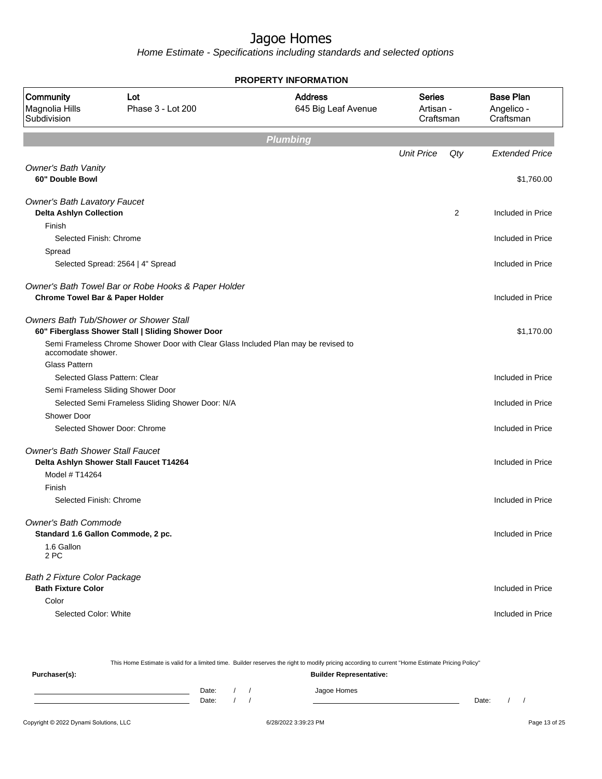| <b>PROPERTY INFORMATION</b>                                                             |                                                                                             |                                       |                                         |     |                                             |  |  |  |  |  |  |
|-----------------------------------------------------------------------------------------|---------------------------------------------------------------------------------------------|---------------------------------------|-----------------------------------------|-----|---------------------------------------------|--|--|--|--|--|--|
| <b>Community</b><br>Magnolia Hills<br>Subdivision                                       | Lot<br>Phase 3 - Lot 200                                                                    | <b>Address</b><br>645 Big Leaf Avenue | <b>Series</b><br>Artisan -<br>Craftsman |     | <b>Base Plan</b><br>Angelico -<br>Craftsman |  |  |  |  |  |  |
|                                                                                         |                                                                                             | <b>Plumbing</b>                       |                                         |     |                                             |  |  |  |  |  |  |
|                                                                                         |                                                                                             |                                       | <b>Unit Price</b>                       | Qty | <b>Extended Price</b>                       |  |  |  |  |  |  |
| <b>Owner's Bath Vanity</b><br>60" Double Bowl                                           |                                                                                             |                                       |                                         |     | \$1,760.00                                  |  |  |  |  |  |  |
| <b>Owner's Bath Lavatory Faucet</b><br><b>Delta Ashlyn Collection</b>                   |                                                                                             |                                       |                                         | 2   | Included in Price                           |  |  |  |  |  |  |
| Finish<br>Selected Finish: Chrome<br>Spread                                             |                                                                                             |                                       |                                         |     | Included in Price                           |  |  |  |  |  |  |
|                                                                                         | Selected Spread: 2564   4" Spread                                                           |                                       |                                         |     | Included in Price                           |  |  |  |  |  |  |
| <b>Chrome Towel Bar &amp; Paper Holder</b>                                              | Owner's Bath Towel Bar or Robe Hooks & Paper Holder                                         |                                       |                                         |     | Included in Price                           |  |  |  |  |  |  |
|                                                                                         | Owners Bath Tub/Shower or Shower Stall<br>60" Fiberglass Shower Stall   Sliding Shower Door |                                       |                                         |     | \$1,170.00                                  |  |  |  |  |  |  |
| accomodate shower.                                                                      | Semi Frameless Chrome Shower Door with Clear Glass Included Plan may be revised to          |                                       |                                         |     |                                             |  |  |  |  |  |  |
| <b>Glass Pattern</b>                                                                    |                                                                                             |                                       |                                         |     |                                             |  |  |  |  |  |  |
|                                                                                         | Selected Glass Pattern: Clear<br>Semi Frameless Sliding Shower Door                         |                                       |                                         |     | Included in Price                           |  |  |  |  |  |  |
|                                                                                         | Selected Semi Frameless Sliding Shower Door: N/A                                            |                                       |                                         |     | Included in Price                           |  |  |  |  |  |  |
| Shower Door                                                                             |                                                                                             |                                       |                                         |     |                                             |  |  |  |  |  |  |
|                                                                                         | Selected Shower Door: Chrome                                                                |                                       |                                         |     | Included in Price                           |  |  |  |  |  |  |
| <b>Owner's Bath Shower Stall Faucet</b>                                                 | Delta Ashlyn Shower Stall Faucet T14264                                                     |                                       |                                         |     | Included in Price                           |  |  |  |  |  |  |
| Model # T14264                                                                          |                                                                                             |                                       |                                         |     |                                             |  |  |  |  |  |  |
| Finish<br>Selected Finish: Chrome                                                       |                                                                                             |                                       |                                         |     | Included in Price                           |  |  |  |  |  |  |
| <b>Owner's Bath Commode</b><br>Standard 1.6 Gallon Commode, 2 pc.<br>1.6 Gallon<br>2 PC |                                                                                             |                                       |                                         |     | Included in Price                           |  |  |  |  |  |  |
| <b>Bath 2 Fixture Color Package</b>                                                     |                                                                                             |                                       |                                         |     |                                             |  |  |  |  |  |  |
| <b>Bath Fixture Color</b>                                                               |                                                                                             |                                       |                                         |     | Included in Price                           |  |  |  |  |  |  |
| Color<br>Selected Color: White                                                          |                                                                                             |                                       |                                         |     | Included in Price                           |  |  |  |  |  |  |

| This Home Estimate is valid for a limited time. Builder reserves the right to modify pricing according to current "Home Estimate Pricing Policy" |  |       |  |  |                                |       |  |  |
|--------------------------------------------------------------------------------------------------------------------------------------------------|--|-------|--|--|--------------------------------|-------|--|--|
| Purchaser(s):                                                                                                                                    |  |       |  |  | <b>Builder Representative:</b> |       |  |  |
|                                                                                                                                                  |  | Date: |  |  | Jagoe Homes                    |       |  |  |
|                                                                                                                                                  |  | Date: |  |  |                                | Date: |  |  |
|                                                                                                                                                  |  |       |  |  |                                |       |  |  |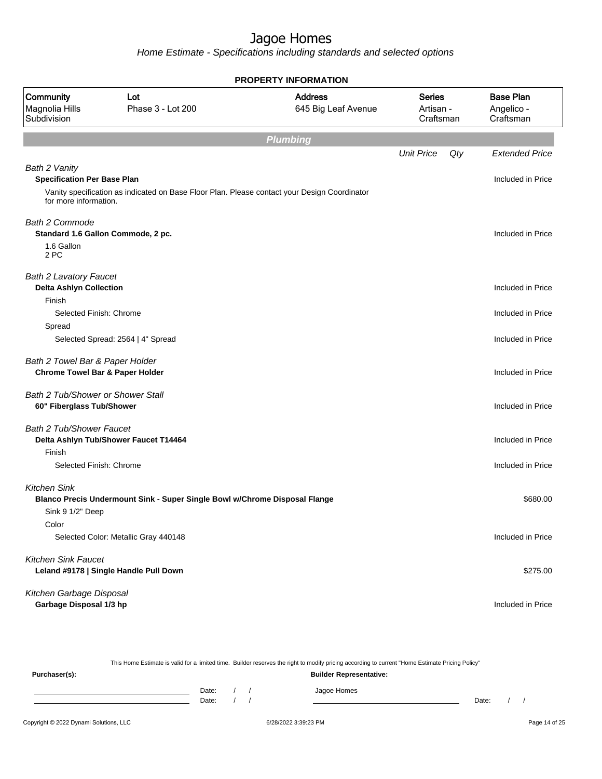|                                                                              |                                                                                              |                                       | <b>PROPERTY INFORMATION</b>             |     |                                             |  |  |  |  |  |  |  |  |
|------------------------------------------------------------------------------|----------------------------------------------------------------------------------------------|---------------------------------------|-----------------------------------------|-----|---------------------------------------------|--|--|--|--|--|--|--|--|
| Community<br>Magnolia Hills<br>Subdivision                                   | Lot<br>Phase 3 - Lot 200                                                                     | <b>Address</b><br>645 Big Leaf Avenue | <b>Series</b><br>Artisan -<br>Craftsman |     | <b>Base Plan</b><br>Angelico -<br>Craftsman |  |  |  |  |  |  |  |  |
|                                                                              |                                                                                              | Plumbing                              |                                         |     |                                             |  |  |  |  |  |  |  |  |
|                                                                              |                                                                                              |                                       | <b>Unit Price</b>                       | Qty | <b>Extended Price</b>                       |  |  |  |  |  |  |  |  |
| Bath 2 Vanity<br><b>Specification Per Base Plan</b><br>for more information. | Vanity specification as indicated on Base Floor Plan. Please contact your Design Coordinator |                                       |                                         |     | Included in Price                           |  |  |  |  |  |  |  |  |
| <b>Bath 2 Commode</b><br>1.6 Gallon<br>2 PC                                  | Standard 1.6 Gallon Commode, 2 pc.                                                           |                                       |                                         |     | Included in Price                           |  |  |  |  |  |  |  |  |
| <b>Bath 2 Lavatory Faucet</b><br><b>Delta Ashlyn Collection</b><br>Finish    |                                                                                              |                                       |                                         |     | Included in Price                           |  |  |  |  |  |  |  |  |
| Selected Finish: Chrome                                                      |                                                                                              |                                       |                                         |     | Included in Price                           |  |  |  |  |  |  |  |  |
| Spread                                                                       | Selected Spread: 2564   4" Spread                                                            |                                       |                                         |     | Included in Price                           |  |  |  |  |  |  |  |  |
| Bath 2 Towel Bar & Paper Holder                                              | <b>Chrome Towel Bar &amp; Paper Holder</b>                                                   |                                       |                                         |     | Included in Price                           |  |  |  |  |  |  |  |  |
| Bath 2 Tub/Shower or Shower Stall<br>60" Fiberglass Tub/Shower               |                                                                                              |                                       |                                         |     | Included in Price                           |  |  |  |  |  |  |  |  |
| <b>Bath 2 Tub/Shower Faucet</b><br>Finish                                    | Delta Ashlyn Tub/Shower Faucet T14464                                                        |                                       |                                         |     | Included in Price                           |  |  |  |  |  |  |  |  |
|                                                                              | Selected Finish: Chrome                                                                      |                                       |                                         |     | Included in Price                           |  |  |  |  |  |  |  |  |
| <b>Kitchen Sink</b><br>Sink 9 1/2" Deep                                      | Blanco Precis Undermount Sink - Super Single Bowl w/Chrome Disposal Flange                   |                                       |                                         |     | \$680.00                                    |  |  |  |  |  |  |  |  |
| Color                                                                        | Selected Color: Metallic Gray 440148                                                         |                                       |                                         |     | Included in Price                           |  |  |  |  |  |  |  |  |
| <b>Kitchen Sink Faucet</b>                                                   | Leland #9178   Single Handle Pull Down                                                       |                                       |                                         |     | \$275.00                                    |  |  |  |  |  |  |  |  |
| Kitchen Garbage Disposal<br>Garbage Disposal 1/3 hp                          |                                                                                              |                                       |                                         |     | Included in Price                           |  |  |  |  |  |  |  |  |

| This Home Estimate is valid for a limited time. Builder reserves the right to modify pricing according to current "Home Estimate Pricing Policy" |                                |       |  |  |             |       |  |  |
|--------------------------------------------------------------------------------------------------------------------------------------------------|--------------------------------|-------|--|--|-------------|-------|--|--|
| Purchaser(s):                                                                                                                                    | <b>Builder Representative:</b> |       |  |  |             |       |  |  |
|                                                                                                                                                  |                                | Date: |  |  | Jagoe Homes |       |  |  |
|                                                                                                                                                  |                                | Date: |  |  |             | Date: |  |  |
|                                                                                                                                                  |                                |       |  |  |             |       |  |  |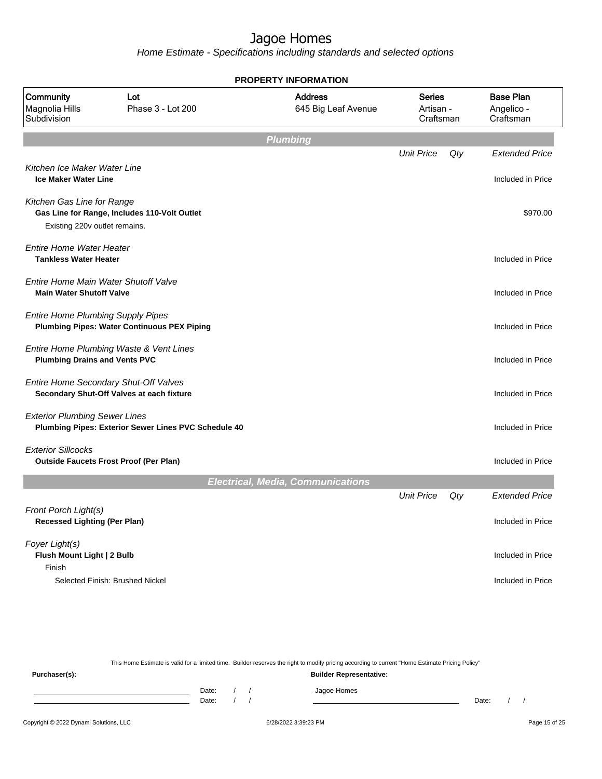Home Estimate - Specifications including standards and selected options

|                                                                    | <b>PROPERTY INFORMATION</b>                                                        |                                          |                                  |     |                                             |  |  |  |  |
|--------------------------------------------------------------------|------------------------------------------------------------------------------------|------------------------------------------|----------------------------------|-----|---------------------------------------------|--|--|--|--|
| Community<br>Magnolia Hills<br>Subdivision                         | Lot<br>Phase 3 - Lot 200                                                           | <b>Address</b><br>645 Big Leaf Avenue    | Series<br>Artisan -<br>Craftsman |     | <b>Base Plan</b><br>Angelico -<br>Craftsman |  |  |  |  |
|                                                                    |                                                                                    | <b>Plumbing</b>                          |                                  |     |                                             |  |  |  |  |
|                                                                    |                                                                                    |                                          | <b>Unit Price</b>                | Qty | <b>Extended Price</b>                       |  |  |  |  |
| Kitchen Ice Maker Water Line<br><b>Ice Maker Water Line</b>        |                                                                                    |                                          |                                  |     | Included in Price                           |  |  |  |  |
| Kitchen Gas Line for Range<br>Existing 220v outlet remains.        | Gas Line for Range, Includes 110-Volt Outlet                                       |                                          |                                  |     | \$970.00                                    |  |  |  |  |
| <b>Entire Home Water Heater</b><br><b>Tankless Water Heater</b>    |                                                                                    |                                          |                                  |     | Included in Price                           |  |  |  |  |
| <b>Main Water Shutoff Valve</b>                                    | Entire Home Main Water Shutoff Valve                                               |                                          |                                  |     | Included in Price                           |  |  |  |  |
| <b>Entire Home Plumbing Supply Pipes</b>                           | <b>Plumbing Pipes: Water Continuous PEX Piping</b>                                 |                                          |                                  |     | Included in Price                           |  |  |  |  |
| <b>Plumbing Drains and Vents PVC</b>                               | Entire Home Plumbing Waste & Vent Lines                                            |                                          |                                  |     | Included in Price                           |  |  |  |  |
|                                                                    | Entire Home Secondary Shut-Off Valves<br>Secondary Shut-Off Valves at each fixture |                                          |                                  |     | Included in Price                           |  |  |  |  |
| <b>Exterior Plumbing Sewer Lines</b>                               | Plumbing Pipes: Exterior Sewer Lines PVC Schedule 40                               |                                          |                                  |     | Included in Price                           |  |  |  |  |
| <b>Exterior Sillcocks</b>                                          | <b>Outside Faucets Frost Proof (Per Plan)</b>                                      |                                          |                                  |     | Included in Price                           |  |  |  |  |
|                                                                    |                                                                                    | <b>Electrical, Media, Communications</b> |                                  |     |                                             |  |  |  |  |
|                                                                    |                                                                                    |                                          | <b>Unit Price</b>                | Qty | <b>Extended Price</b>                       |  |  |  |  |
| <b>Front Porch Light(s)</b><br><b>Recessed Lighting (Per Plan)</b> |                                                                                    |                                          |                                  |     | Included in Price                           |  |  |  |  |
| Foyer Light(s)<br>Flush Mount Light   2 Bulb<br>Finish             |                                                                                    |                                          |                                  |     | Included in Price                           |  |  |  |  |
|                                                                    | Selected Finish: Brushed Nickel                                                    |                                          |                                  |     | Included in Price                           |  |  |  |  |

This Home Estimate is valid for a limited time. Builder reserves the right to modify pricing according to current "Home Estimate Pricing Policy"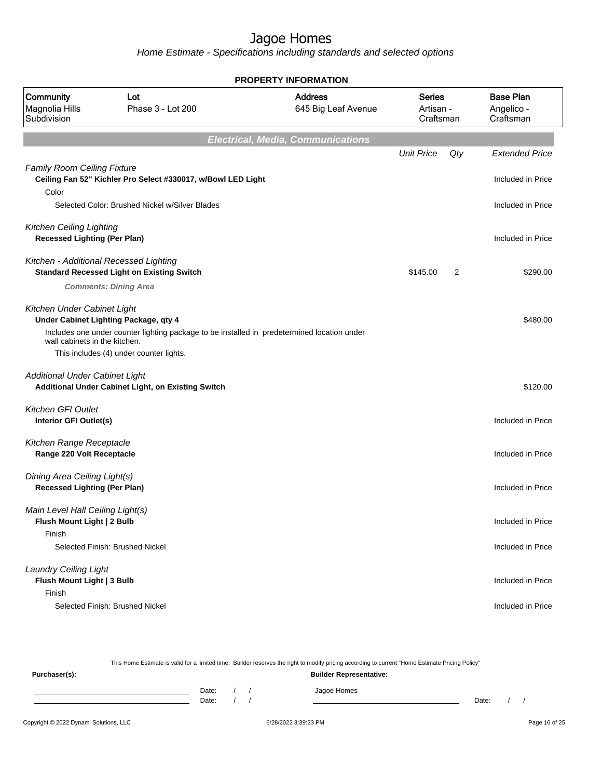Home Estimate - Specifications including standards and selected options

| <b>PROPERTY INFORMATION</b>                                            |                                                                                             |                                          |                                         |     |                                             |  |  |
|------------------------------------------------------------------------|---------------------------------------------------------------------------------------------|------------------------------------------|-----------------------------------------|-----|---------------------------------------------|--|--|
| Community<br>Magnolia Hills<br>Subdivision                             | Lot<br>Phase 3 - Lot 200                                                                    | <b>Address</b><br>645 Big Leaf Avenue    | <b>Series</b><br>Artisan -<br>Craftsman |     | <b>Base Plan</b><br>Angelico -<br>Craftsman |  |  |
|                                                                        |                                                                                             | <b>Electrical, Media, Communications</b> |                                         |     |                                             |  |  |
|                                                                        |                                                                                             |                                          | <b>Unit Price</b>                       | Qty | <b>Extended Price</b>                       |  |  |
| <b>Family Room Ceiling Fixture</b><br>Color                            | Ceiling Fan 52" Kichler Pro Select #330017, w/Bowl LED Light                                |                                          |                                         |     | Included in Price                           |  |  |
|                                                                        | Selected Color: Brushed Nickel w/Silver Blades                                              |                                          |                                         |     | Included in Price                           |  |  |
| <b>Kitchen Ceiling Lighting</b><br><b>Recessed Lighting (Per Plan)</b> |                                                                                             |                                          |                                         |     | Included in Price                           |  |  |
|                                                                        | Kitchen - Additional Recessed Lighting<br><b>Standard Recessed Light on Existing Switch</b> |                                          | \$145.00                                | 2   | \$290.00                                    |  |  |
|                                                                        | <b>Comments: Dining Area</b>                                                                |                                          |                                         |     |                                             |  |  |
| Kitchen Under Cabinet Light                                            | Under Cabinet Lighting Package, qty 4                                                       |                                          |                                         |     | \$480.00                                    |  |  |
| wall cabinets in the kitchen.                                          | Includes one under counter lighting package to be installed in predetermined location under |                                          |                                         |     |                                             |  |  |
|                                                                        | This includes (4) under counter lights.                                                     |                                          |                                         |     |                                             |  |  |
| <b>Additional Under Cabinet Light</b>                                  | Additional Under Cabinet Light, on Existing Switch                                          |                                          |                                         |     | \$120.00                                    |  |  |
| <b>Kitchen GFI Outlet</b><br>Interior GFI Outlet(s)                    |                                                                                             |                                          |                                         |     | Included in Price                           |  |  |
| Kitchen Range Receptacle<br>Range 220 Volt Receptacle                  |                                                                                             |                                          |                                         |     | Included in Price                           |  |  |
| Dining Area Ceiling Light(s)<br><b>Recessed Lighting (Per Plan)</b>    |                                                                                             |                                          |                                         |     | Included in Price                           |  |  |
| Main Level Hall Ceiling Light(s)<br>Flush Mount Light   2 Bulb         |                                                                                             |                                          |                                         |     | Included in Price                           |  |  |
| Finish                                                                 | Selected Finish: Brushed Nickel                                                             |                                          |                                         |     | Included in Price                           |  |  |
| <b>Laundry Ceiling Light</b><br>Flush Mount Light   3 Bulb             |                                                                                             |                                          |                                         |     | Included in Price                           |  |  |
| Finish                                                                 | Selected Finish: Brushed Nickel                                                             |                                          |                                         |     | Included in Price                           |  |  |

Copyright © 2022 Dynami Solutions, LLC **Capital Contract Contract Contract Contract Contract Contract Contract Contract Contract Contract Contract Contract Contract Contract Contract Contract Contract Contract Contract Con** This Home Estimate is valid for a limited time. Builder reserves the right to modify pricing according to current "Home Estimate Pricing Policy" **Purchaser(s): Builder Representative:** Date: / / Jagoe Homes<br>Date: / / Jagoe Homes Date: / / **Date: / / 2006** Date: / / / Date: / / / Date: / / / 2006 Date: / / / 2006 Date: / / / 2006 Date: / / / 2006 Date: / / / 2007 Date: / / / 2007 Date: / / / 2007 Date: / / / 2007 Date: / / / 2007 Date: / / / 2007 D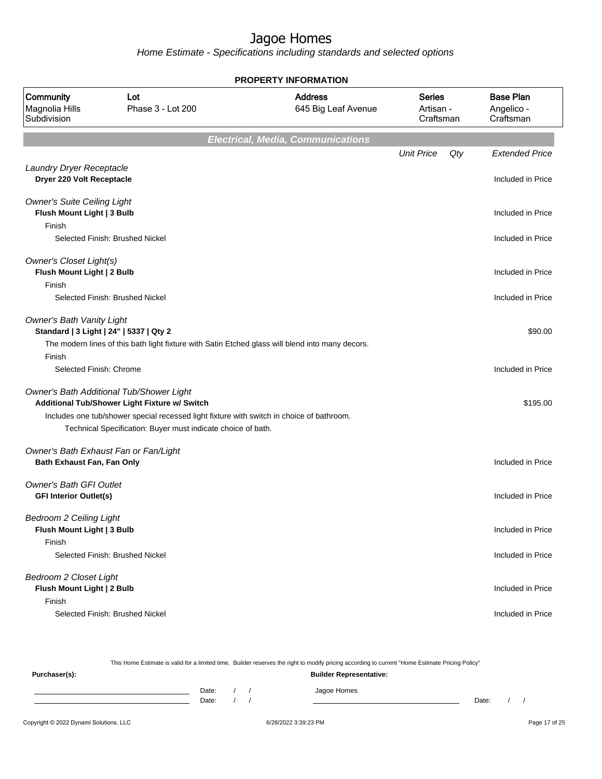|                                                                                       | <b>PROPERTY INFORMATION</b>                                                                                                                                                                                                                            |                                          |                                         |     |                                             |  |  |  |
|---------------------------------------------------------------------------------------|--------------------------------------------------------------------------------------------------------------------------------------------------------------------------------------------------------------------------------------------------------|------------------------------------------|-----------------------------------------|-----|---------------------------------------------|--|--|--|
| Community<br>Magnolia Hills<br>Subdivision                                            | Lot<br>Phase 3 - Lot 200                                                                                                                                                                                                                               | <b>Address</b><br>645 Big Leaf Avenue    | <b>Series</b><br>Artisan -<br>Craftsman |     | <b>Base Plan</b><br>Angelico -<br>Craftsman |  |  |  |
|                                                                                       |                                                                                                                                                                                                                                                        | <b>Electrical, Media, Communications</b> |                                         |     |                                             |  |  |  |
|                                                                                       |                                                                                                                                                                                                                                                        |                                          | <b>Unit Price</b>                       | Qty | <b>Extended Price</b>                       |  |  |  |
| Laundry Dryer Receptacle<br>Dryer 220 Volt Receptacle                                 |                                                                                                                                                                                                                                                        |                                          |                                         |     | Included in Price                           |  |  |  |
| <b>Owner's Suite Ceiling Light</b><br>Flush Mount Light   3 Bulb                      |                                                                                                                                                                                                                                                        |                                          |                                         |     | Included in Price                           |  |  |  |
| Finish                                                                                | Selected Finish: Brushed Nickel                                                                                                                                                                                                                        |                                          |                                         |     | Included in Price                           |  |  |  |
| Owner's Closet Light(s)<br>Flush Mount Light   2 Bulb<br>Finish                       |                                                                                                                                                                                                                                                        |                                          |                                         |     | Included in Price                           |  |  |  |
|                                                                                       | Selected Finish: Brushed Nickel                                                                                                                                                                                                                        |                                          |                                         |     | Included in Price                           |  |  |  |
| <b>Owner's Bath Vanity Light</b><br>Standard   3 Light   24"   5337   Qty 2<br>Finish | The modern lines of this bath light fixture with Satin Etched glass will blend into many decors.                                                                                                                                                       |                                          |                                         |     | \$90.00                                     |  |  |  |
| Selected Finish: Chrome                                                               |                                                                                                                                                                                                                                                        |                                          |                                         |     | Included in Price                           |  |  |  |
|                                                                                       | Owner's Bath Additional Tub/Shower Light<br>Additional Tub/Shower Light Fixture w/ Switch<br>Includes one tub/shower special recessed light fixture with switch in choice of bathroom.<br>Technical Specification: Buyer must indicate choice of bath. |                                          |                                         |     | \$195.00                                    |  |  |  |
| Bath Exhaust Fan, Fan Only                                                            | Owner's Bath Exhaust Fan or Fan/Light                                                                                                                                                                                                                  |                                          |                                         |     | Included in Price                           |  |  |  |
| <b>Owner's Bath GFI Outlet</b><br><b>GFI Interior Outlet(s)</b>                       |                                                                                                                                                                                                                                                        |                                          |                                         |     | Included in Price                           |  |  |  |
| <b>Bedroom 2 Ceiling Light</b><br>Flush Mount Light   3 Bulb<br>Finish                |                                                                                                                                                                                                                                                        |                                          |                                         |     | Included in Price                           |  |  |  |
|                                                                                       | Selected Finish: Brushed Nickel                                                                                                                                                                                                                        |                                          |                                         |     | Included in Price                           |  |  |  |
| Bedroom 2 Closet Light<br>Flush Mount Light   2 Bulb<br>Finish                        |                                                                                                                                                                                                                                                        |                                          |                                         |     | Included in Price                           |  |  |  |
|                                                                                       | Selected Finish: Brushed Nickel                                                                                                                                                                                                                        |                                          |                                         |     | Included in Price                           |  |  |  |

| This Home Estimate is valid for a limited time. Builder reserves the right to modify pricing according to current "Home Estimate Pricing Policy" |  |       |  |  |                                |       |  |  |
|--------------------------------------------------------------------------------------------------------------------------------------------------|--|-------|--|--|--------------------------------|-------|--|--|
| Purchaser(s):                                                                                                                                    |  |       |  |  | <b>Builder Representative:</b> |       |  |  |
|                                                                                                                                                  |  | Date: |  |  | Jagoe Homes                    |       |  |  |
|                                                                                                                                                  |  | Date: |  |  |                                | Date: |  |  |
|                                                                                                                                                  |  |       |  |  |                                |       |  |  |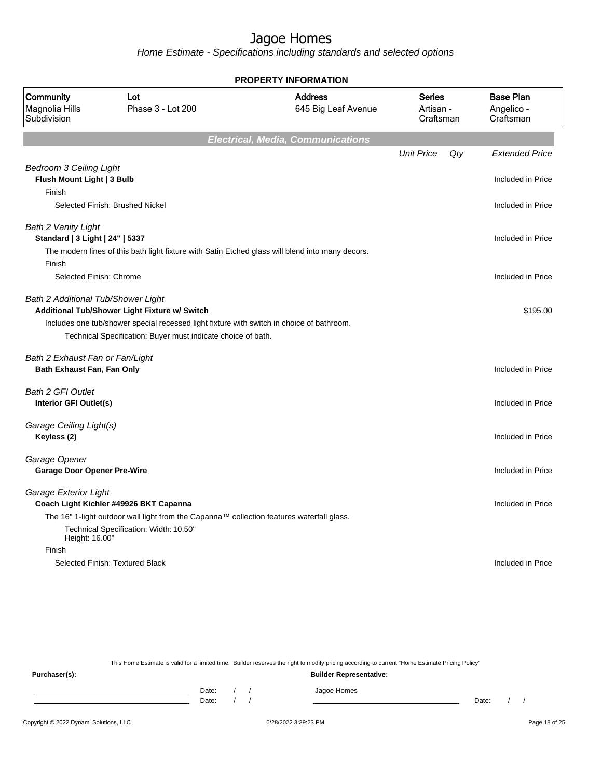Home Estimate - Specifications including standards and selected options

| <b>PROPERTY INFORMATION</b>                                            |                                                                                                                                                                                                            |                                          |                                         |     |                                             |  |  |
|------------------------------------------------------------------------|------------------------------------------------------------------------------------------------------------------------------------------------------------------------------------------------------------|------------------------------------------|-----------------------------------------|-----|---------------------------------------------|--|--|
| Community<br>Magnolia Hills<br>Subdivision                             | Lot<br>Phase 3 - Lot 200                                                                                                                                                                                   | <b>Address</b><br>645 Big Leaf Avenue    | <b>Series</b><br>Artisan -<br>Craftsman |     | <b>Base Plan</b><br>Angelico -<br>Craftsman |  |  |
|                                                                        |                                                                                                                                                                                                            | <b>Electrical, Media, Communications</b> |                                         |     |                                             |  |  |
|                                                                        |                                                                                                                                                                                                            |                                          | <b>Unit Price</b>                       | Qty | <b>Extended Price</b>                       |  |  |
| <b>Bedroom 3 Ceiling Light</b><br>Flush Mount Light   3 Bulb<br>Finish |                                                                                                                                                                                                            |                                          |                                         |     | Included in Price                           |  |  |
|                                                                        | Selected Finish: Brushed Nickel                                                                                                                                                                            |                                          |                                         |     | Included in Price                           |  |  |
| Bath 2 Vanity Light<br>Standard   3 Light   24"   5337                 | The modern lines of this bath light fixture with Satin Etched glass will blend into many decors.                                                                                                           |                                          |                                         |     | Included in Price                           |  |  |
| Finish<br>Selected Finish: Chrome                                      |                                                                                                                                                                                                            |                                          |                                         |     | Included in Price                           |  |  |
| Bath 2 Additional Tub/Shower Light                                     | Additional Tub/Shower Light Fixture w/ Switch<br>Includes one tub/shower special recessed light fixture with switch in choice of bathroom.<br>Technical Specification: Buyer must indicate choice of bath. |                                          |                                         |     | \$195.00                                    |  |  |
| Bath 2 Exhaust Fan or Fan/Light<br>Bath Exhaust Fan, Fan Only          |                                                                                                                                                                                                            |                                          |                                         |     | Included in Price                           |  |  |
| <b>Bath 2 GFI Outlet</b><br>Interior GFI Outlet(s)                     |                                                                                                                                                                                                            |                                          |                                         |     | Included in Price                           |  |  |
| Garage Ceiling Light(s)<br>Keyless (2)                                 |                                                                                                                                                                                                            |                                          |                                         |     | Included in Price                           |  |  |
| Garage Opener<br><b>Garage Door Opener Pre-Wire</b>                    |                                                                                                                                                                                                            |                                          |                                         |     | Included in Price                           |  |  |
| Garage Exterior Light                                                  | Coach Light Kichler #49926 BKT Capanna<br>The 16" 1-light outdoor wall light from the Capanna™ collection features waterfall glass.<br>Technical Specification: Width: 10.50"                              |                                          |                                         |     | Included in Price                           |  |  |
| Height: 16.00"                                                         |                                                                                                                                                                                                            |                                          |                                         |     |                                             |  |  |
| Finish                                                                 | Selected Finish: Textured Black                                                                                                                                                                            |                                          |                                         |     | Included in Price                           |  |  |

This Home Estimate is valid for a limited time. Builder reserves the right to modify pricing according to current "Home Estimate Pricing Policy"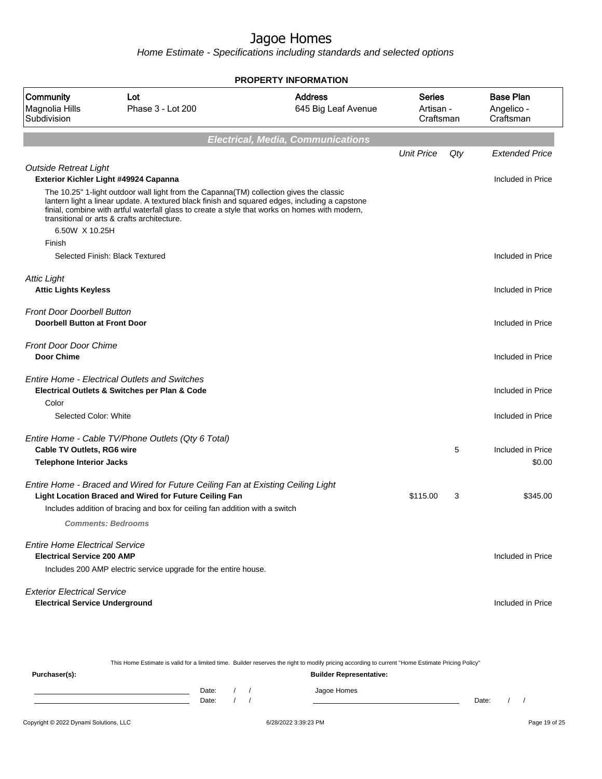|                                                                             |                                                                                                                                                                                                                                                                                                                                            | <b>PROPERTY INFORMATION</b>              |                                  |     |                                             |
|-----------------------------------------------------------------------------|--------------------------------------------------------------------------------------------------------------------------------------------------------------------------------------------------------------------------------------------------------------------------------------------------------------------------------------------|------------------------------------------|----------------------------------|-----|---------------------------------------------|
| Community<br>Magnolia Hills<br>Subdivision                                  | Lot<br>Phase 3 - Lot 200                                                                                                                                                                                                                                                                                                                   | <b>Address</b><br>645 Big Leaf Avenue    | Series<br>Artisan -<br>Craftsman |     | <b>Base Plan</b><br>Angelico -<br>Craftsman |
|                                                                             |                                                                                                                                                                                                                                                                                                                                            | <b>Electrical, Media, Communications</b> |                                  |     |                                             |
|                                                                             |                                                                                                                                                                                                                                                                                                                                            |                                          | <b>Unit Price</b>                | Qty | <b>Extended Price</b>                       |
| <b>Outside Retreat Light</b>                                                | Exterior Kichler Light #49924 Capanna                                                                                                                                                                                                                                                                                                      |                                          |                                  |     | Included in Price                           |
| 6.50W X 10.25H                                                              | The 10.25" 1-light outdoor wall light from the Capanna(TM) collection gives the classic<br>lantern light a linear update. A textured black finish and squared edges, including a capstone<br>finial, combine with artful waterfall glass to create a style that works on homes with modern,<br>transitional or arts & crafts architecture. |                                          |                                  |     |                                             |
| Finish                                                                      | Selected Finish: Black Textured                                                                                                                                                                                                                                                                                                            |                                          |                                  |     | Included in Price                           |
| <b>Attic Light</b><br><b>Attic Lights Keyless</b>                           |                                                                                                                                                                                                                                                                                                                                            |                                          |                                  |     | Included in Price                           |
| <b>Front Door Doorbell Button</b><br><b>Doorbell Button at Front Door</b>   |                                                                                                                                                                                                                                                                                                                                            |                                          |                                  |     | Included in Price                           |
| <b>Front Door Door Chime</b><br><b>Door Chime</b>                           |                                                                                                                                                                                                                                                                                                                                            |                                          |                                  |     | Included in Price                           |
|                                                                             | <b>Entire Home - Electrical Outlets and Switches</b><br>Electrical Outlets & Switches per Plan & Code                                                                                                                                                                                                                                      |                                          |                                  |     | Included in Price                           |
| Color                                                                       |                                                                                                                                                                                                                                                                                                                                            |                                          |                                  |     |                                             |
| Selected Color: White                                                       |                                                                                                                                                                                                                                                                                                                                            |                                          |                                  |     | Included in Price                           |
| <b>Cable TV Outlets, RG6 wire</b>                                           | Entire Home - Cable TV/Phone Outlets (Qty 6 Total)                                                                                                                                                                                                                                                                                         |                                          |                                  | 5   | Included in Price                           |
| <b>Telephone Interior Jacks</b>                                             |                                                                                                                                                                                                                                                                                                                                            |                                          |                                  |     | \$0.00                                      |
|                                                                             | Entire Home - Braced and Wired for Future Ceiling Fan at Existing Ceiling Light<br>Light Location Braced and Wired for Future Ceiling Fan                                                                                                                                                                                                  |                                          | \$115.00                         | 3   | \$345.00                                    |
|                                                                             | Includes addition of bracing and box for ceiling fan addition with a switch                                                                                                                                                                                                                                                                |                                          |                                  |     |                                             |
|                                                                             | <b>Comments: Bedrooms</b>                                                                                                                                                                                                                                                                                                                  |                                          |                                  |     |                                             |
| <b>Entire Home Electrical Service</b><br><b>Electrical Service 200 AMP</b>  | Includes 200 AMP electric service upgrade for the entire house.                                                                                                                                                                                                                                                                            |                                          |                                  |     | Included in Price                           |
| <b>Exterior Electrical Service</b><br><b>Electrical Service Underground</b> |                                                                                                                                                                                                                                                                                                                                            |                                          |                                  |     | Included in Price                           |

| This Home Estimate is valid for a limited time. Builder reserves the right to modify pricing according to current "Home Estimate Pricing Policy" |                                |  |  |             |       |  |  |  |
|--------------------------------------------------------------------------------------------------------------------------------------------------|--------------------------------|--|--|-------------|-------|--|--|--|
| Purchaser(s):                                                                                                                                    | <b>Builder Representative:</b> |  |  |             |       |  |  |  |
|                                                                                                                                                  | Date:                          |  |  | Jagoe Homes |       |  |  |  |
|                                                                                                                                                  | Date:                          |  |  |             | Date: |  |  |  |
|                                                                                                                                                  |                                |  |  |             |       |  |  |  |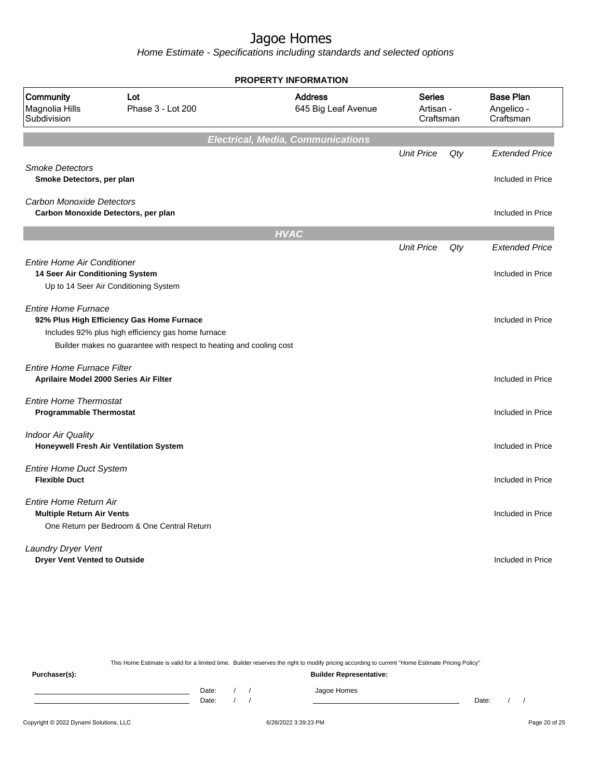Home Estimate - Specifications including standards and selected options

|                                                                             |                                                                                                                                                                        | <b>PROPERTY INFORMATION</b>              |                                         |     |                                             |
|-----------------------------------------------------------------------------|------------------------------------------------------------------------------------------------------------------------------------------------------------------------|------------------------------------------|-----------------------------------------|-----|---------------------------------------------|
| Community<br>Magnolia Hills<br>Subdivision                                  | Lot<br>Phase 3 - Lot 200                                                                                                                                               | <b>Address</b><br>645 Big Leaf Avenue    | <b>Series</b><br>Artisan -<br>Craftsman |     | <b>Base Plan</b><br>Angelico -<br>Craftsman |
|                                                                             |                                                                                                                                                                        | <b>Electrical, Media, Communications</b> |                                         |     |                                             |
| <b>Smoke Detectors</b><br>Smoke Detectors, per plan                         |                                                                                                                                                                        |                                          | <b>Unit Price</b>                       | Qty | <b>Extended Price</b><br>Included in Price  |
| <b>Carbon Monoxide Detectors</b><br>Carbon Monoxide Detectors, per plan     |                                                                                                                                                                        |                                          |                                         |     | Included in Price                           |
|                                                                             |                                                                                                                                                                        | <b>HVAC</b>                              |                                         |     |                                             |
|                                                                             |                                                                                                                                                                        |                                          | <b>Unit Price</b>                       | Qty | <b>Extended Price</b>                       |
| <b>Entire Home Air Conditioner</b><br>14 Seer Air Conditioning System       | Up to 14 Seer Air Conditioning System                                                                                                                                  |                                          |                                         |     | Included in Price                           |
| <b>Entire Home Furnace</b>                                                  | 92% Plus High Efficiency Gas Home Furnace<br>Includes 92% plus high efficiency gas home furnace<br>Builder makes no guarantee with respect to heating and cooling cost |                                          |                                         |     | Included in Price                           |
| <b>Entire Home Furnace Filter</b><br>Aprilaire Model 2000 Series Air Filter |                                                                                                                                                                        |                                          |                                         |     | Included in Price                           |
| <b>Entire Home Thermostat</b><br><b>Programmable Thermostat</b>             |                                                                                                                                                                        |                                          |                                         |     | Included in Price                           |
| <b>Indoor Air Quality</b>                                                   | <b>Honeywell Fresh Air Ventilation System</b>                                                                                                                          |                                          |                                         |     | Included in Price                           |
| <b>Entire Home Duct System</b><br><b>Flexible Duct</b>                      |                                                                                                                                                                        |                                          |                                         |     | Included in Price                           |
| <b>Entire Home Return Air</b><br><b>Multiple Return Air Vents</b>           | One Return per Bedroom & One Central Return                                                                                                                            |                                          |                                         |     | Included in Price                           |
| Laundry Dryer Vent<br><b>Dryer Vent Vented to Outside</b>                   |                                                                                                                                                                        |                                          |                                         |     | Included in Price                           |

This Home Estimate is valid for a limited time. Builder reserves the right to modify pricing according to current "Home Estimate Pricing Policy" **Purchaser(s): Builder Representative:** Date: / / Jagoe Homes<br>Date: / / Jagoe Homes Date: / / Date: / /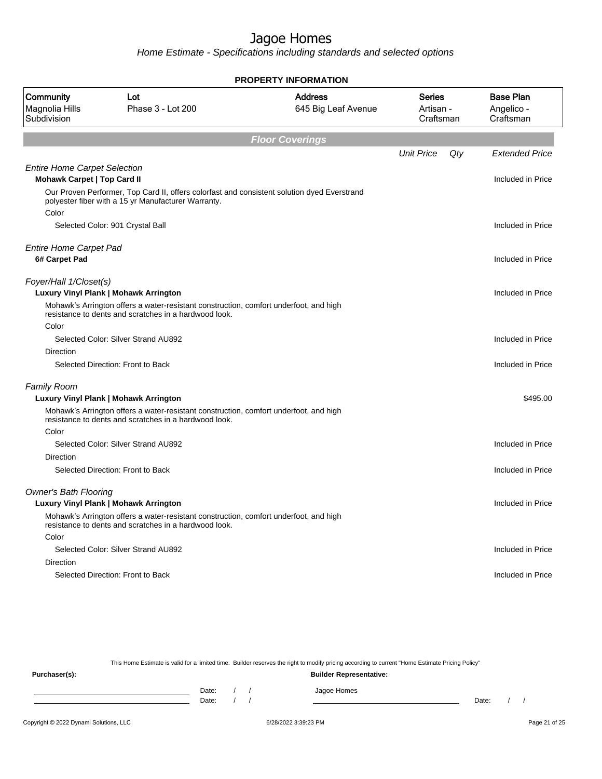Home Estimate - Specifications including standards and selected options

|                                                                           |                                                                                                                                                    | <b>PROPERTY INFORMATION</b>           |                                  |     |                                             |
|---------------------------------------------------------------------------|----------------------------------------------------------------------------------------------------------------------------------------------------|---------------------------------------|----------------------------------|-----|---------------------------------------------|
| Community<br>Magnolia Hills<br>Subdivision                                | Lot<br>Phase 3 - Lot 200                                                                                                                           | <b>Address</b><br>645 Big Leaf Avenue | Series<br>Artisan -<br>Craftsman |     | <b>Base Plan</b><br>Angelico -<br>Craftsman |
|                                                                           |                                                                                                                                                    | <b>Floor Coverings</b>                |                                  |     |                                             |
|                                                                           |                                                                                                                                                    |                                       | <b>Unit Price</b>                | Qty | <b>Extended Price</b>                       |
| <b>Entire Home Carpet Selection</b><br><b>Mohawk Carpet   Top Card II</b> |                                                                                                                                                    |                                       |                                  |     | Included in Price                           |
|                                                                           | Our Proven Performer, Top Card II, offers colorfast and consistent solution dyed Everstrand<br>polyester fiber with a 15 yr Manufacturer Warranty. |                                       |                                  |     |                                             |
| Color                                                                     | Selected Color: 901 Crystal Ball                                                                                                                   |                                       |                                  |     | Included in Price                           |
| <b>Entire Home Carpet Pad</b><br>6# Carpet Pad                            |                                                                                                                                                    |                                       |                                  |     | Included in Price                           |
|                                                                           |                                                                                                                                                    |                                       |                                  |     |                                             |
| Foyer/Hall 1/Closet(s)                                                    | Luxury Vinyl Plank   Mohawk Arrington                                                                                                              |                                       |                                  |     | Included in Price                           |
|                                                                           | Mohawk's Arrington offers a water-resistant construction, comfort underfoot, and high<br>resistance to dents and scratches in a hardwood look.     |                                       |                                  |     |                                             |
| Color                                                                     |                                                                                                                                                    |                                       |                                  |     |                                             |
|                                                                           | Selected Color: Silver Strand AU892                                                                                                                |                                       |                                  |     | Included in Price                           |
| Direction                                                                 |                                                                                                                                                    |                                       |                                  |     |                                             |
|                                                                           | Selected Direction: Front to Back                                                                                                                  |                                       |                                  |     | Included in Price                           |
| <b>Family Room</b>                                                        |                                                                                                                                                    |                                       |                                  |     |                                             |
|                                                                           | Luxury Vinyl Plank   Mohawk Arrington                                                                                                              |                                       |                                  |     | \$495.00                                    |
| Color                                                                     | Mohawk's Arrington offers a water-resistant construction, comfort underfoot, and high<br>resistance to dents and scratches in a hardwood look.     |                                       |                                  |     |                                             |
|                                                                           | Selected Color: Silver Strand AU892                                                                                                                |                                       |                                  |     | Included in Price                           |
| Direction                                                                 |                                                                                                                                                    |                                       |                                  |     |                                             |
|                                                                           | Selected Direction: Front to Back                                                                                                                  |                                       |                                  |     | Included in Price                           |
| <b>Owner's Bath Flooring</b>                                              |                                                                                                                                                    |                                       |                                  |     |                                             |
|                                                                           | Luxury Vinyl Plank   Mohawk Arrington                                                                                                              |                                       |                                  |     | Included in Price                           |
|                                                                           | Mohawk's Arrington offers a water-resistant construction, comfort underfoot, and high<br>resistance to dents and scratches in a hardwood look.     |                                       |                                  |     |                                             |
| Color                                                                     |                                                                                                                                                    |                                       |                                  |     |                                             |
|                                                                           | Selected Color: Silver Strand AU892                                                                                                                |                                       |                                  |     | Included in Price                           |
| <b>Direction</b>                                                          |                                                                                                                                                    |                                       |                                  |     |                                             |
|                                                                           | Selected Direction: Front to Back                                                                                                                  |                                       |                                  |     | Included in Price                           |
|                                                                           |                                                                                                                                                    |                                       |                                  |     |                                             |

This Home Estimate is valid for a limited time. Builder reserves the right to modify pricing according to current "Home Estimate Pricing Policy"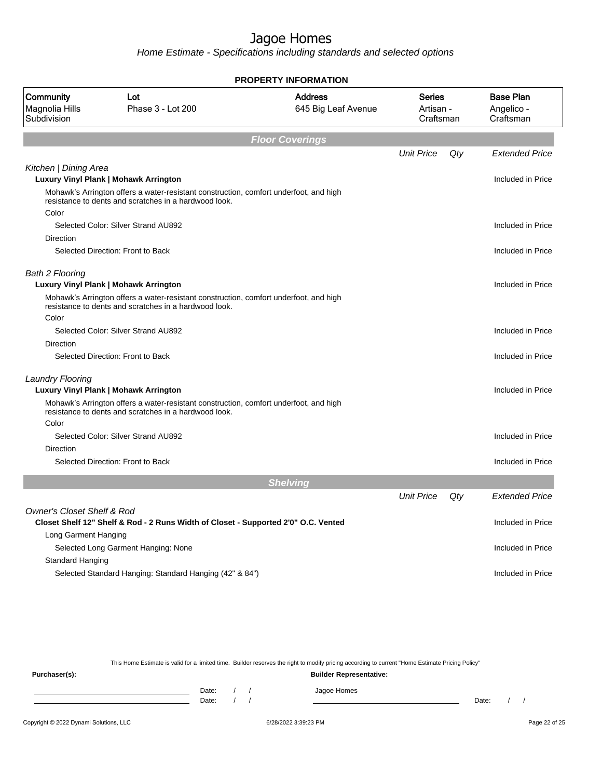Home Estimate - Specifications including standards and selected options

|                                            |                                                                                                                                                | <b>PROPERTY INFORMATION</b>           |                                         |     |                                             |
|--------------------------------------------|------------------------------------------------------------------------------------------------------------------------------------------------|---------------------------------------|-----------------------------------------|-----|---------------------------------------------|
| Community<br>Magnolia Hills<br>Subdivision | Lot<br>Phase 3 - Lot 200                                                                                                                       | <b>Address</b><br>645 Big Leaf Avenue | <b>Series</b><br>Artisan -<br>Craftsman |     | <b>Base Plan</b><br>Angelico -<br>Craftsman |
|                                            |                                                                                                                                                | <b>Floor Coverings</b>                |                                         |     |                                             |
|                                            |                                                                                                                                                |                                       | <b>Unit Price</b>                       | Qty | <b>Extended Price</b>                       |
| Kitchen   Dining Area                      |                                                                                                                                                |                                       |                                         |     |                                             |
|                                            | Luxury Vinyl Plank   Mohawk Arrington                                                                                                          |                                       |                                         |     | Included in Price                           |
|                                            | Mohawk's Arrington offers a water-resistant construction, comfort underfoot, and high<br>resistance to dents and scratches in a hardwood look. |                                       |                                         |     |                                             |
| Color                                      |                                                                                                                                                |                                       |                                         |     |                                             |
|                                            | Selected Color: Silver Strand AU892                                                                                                            |                                       |                                         |     | Included in Price                           |
| Direction                                  |                                                                                                                                                |                                       |                                         |     |                                             |
|                                            | Selected Direction: Front to Back                                                                                                              |                                       |                                         |     | Included in Price                           |
| <b>Bath 2 Flooring</b>                     | Luxury Vinyl Plank   Mohawk Arrington                                                                                                          |                                       |                                         |     | Included in Price                           |
|                                            | Mohawk's Arrington offers a water-resistant construction, comfort underfoot, and high<br>resistance to dents and scratches in a hardwood look. |                                       |                                         |     |                                             |
| Color                                      |                                                                                                                                                |                                       |                                         |     |                                             |
|                                            | Selected Color: Silver Strand AU892                                                                                                            |                                       |                                         |     | Included in Price                           |
| <b>Direction</b>                           |                                                                                                                                                |                                       |                                         |     |                                             |
|                                            | Selected Direction: Front to Back                                                                                                              |                                       |                                         |     | Included in Price                           |
| <b>Laundry Flooring</b>                    | Luxury Vinyl Plank   Mohawk Arrington                                                                                                          |                                       |                                         |     | Included in Price                           |
|                                            | Mohawk's Arrington offers a water-resistant construction, comfort underfoot, and high<br>resistance to dents and scratches in a hardwood look. |                                       |                                         |     |                                             |
| Color                                      |                                                                                                                                                |                                       |                                         |     |                                             |
|                                            | Selected Color: Silver Strand AU892                                                                                                            |                                       |                                         |     | Included in Price                           |
| Direction                                  | Selected Direction: Front to Back                                                                                                              |                                       |                                         |     | Included in Price                           |
|                                            |                                                                                                                                                |                                       |                                         |     |                                             |
|                                            |                                                                                                                                                | <b>Shelving</b>                       |                                         |     |                                             |
|                                            |                                                                                                                                                |                                       | <b>Unit Price</b>                       | Qty | <b>Extended Price</b>                       |
| <b>Owner's Closet Shelf &amp; Rod</b>      |                                                                                                                                                |                                       |                                         |     |                                             |
|                                            | Closet Shelf 12" Shelf & Rod - 2 Runs Width of Closet - Supported 2'0" O.C. Vented                                                             |                                       |                                         |     | Included in Price                           |
| Long Garment Hanging                       |                                                                                                                                                |                                       |                                         |     |                                             |
|                                            | Selected Long Garment Hanging: None                                                                                                            |                                       |                                         |     | Included in Price                           |
| Standard Hanging                           |                                                                                                                                                |                                       |                                         |     |                                             |
|                                            | Selected Standard Hanging: Standard Hanging (42" & 84")                                                                                        |                                       |                                         |     | Included in Price                           |

This Home Estimate is valid for a limited time. Builder reserves the right to modify pricing according to current "Home Estimate Pricing Policy"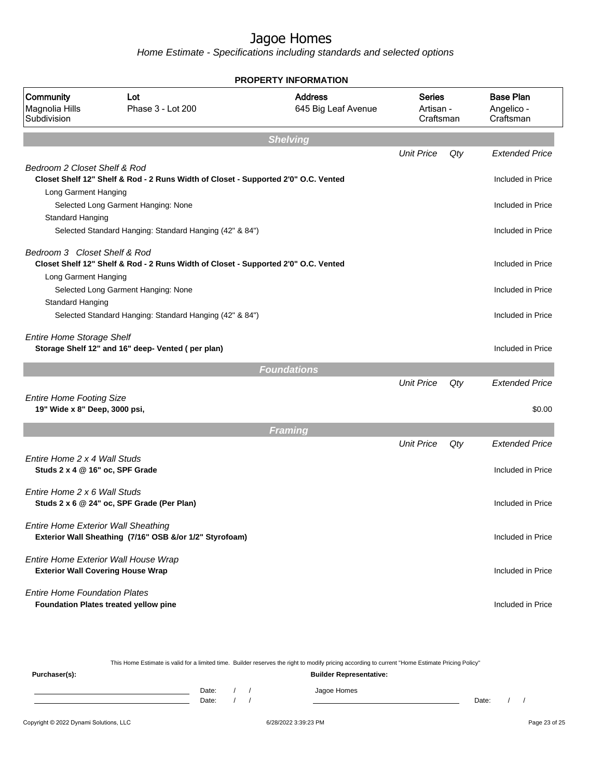|                                                                  |                                                                                    | <b>PROPERTY INFORMATION</b>           |                                         |     |                                             |
|------------------------------------------------------------------|------------------------------------------------------------------------------------|---------------------------------------|-----------------------------------------|-----|---------------------------------------------|
| Community<br>Magnolia Hills<br>Subdivision                       | Lot<br>Phase 3 - Lot 200                                                           | <b>Address</b><br>645 Big Leaf Avenue | <b>Series</b><br>Artisan -<br>Craftsman |     | <b>Base Plan</b><br>Angelico -<br>Craftsman |
|                                                                  |                                                                                    | <b>Shelving</b>                       |                                         |     |                                             |
|                                                                  |                                                                                    |                                       | <b>Unit Price</b>                       | Qty | <b>Extended Price</b>                       |
| Bedroom 2 Closet Shelf & Rod<br>Long Garment Hanging             | Closet Shelf 12" Shelf & Rod - 2 Runs Width of Closet - Supported 2'0" O.C. Vented |                                       |                                         |     | Included in Price                           |
|                                                                  | Selected Long Garment Hanging: None                                                |                                       |                                         |     | Included in Price                           |
| Standard Hanging                                                 |                                                                                    |                                       |                                         |     |                                             |
|                                                                  | Selected Standard Hanging: Standard Hanging (42" & 84")                            |                                       |                                         |     | Included in Price                           |
| Bedroom 3 Closet Shelf & Rod                                     | Closet Shelf 12" Shelf & Rod - 2 Runs Width of Closet - Supported 2'0" O.C. Vented |                                       |                                         |     | Included in Price                           |
| Long Garment Hanging                                             | Selected Long Garment Hanging: None                                                |                                       |                                         |     | Included in Price                           |
| Standard Hanging                                                 | Selected Standard Hanging: Standard Hanging (42" & 84")                            |                                       |                                         |     | Included in Price                           |
| <b>Entire Home Storage Shelf</b>                                 | Storage Shelf 12" and 16" deep- Vented (per plan)                                  |                                       |                                         |     | Included in Price                           |
|                                                                  |                                                                                    | <b>Foundations</b>                    |                                         |     |                                             |
|                                                                  |                                                                                    |                                       | <b>Unit Price</b>                       | Qty | <b>Extended Price</b>                       |
| <b>Entire Home Footing Size</b><br>19" Wide x 8" Deep, 3000 psi, |                                                                                    |                                       |                                         |     | \$0.00                                      |
|                                                                  |                                                                                    | <b>Framing</b>                        |                                         |     |                                             |
|                                                                  |                                                                                    |                                       | <b>Unit Price</b>                       | Qty | <b>Extended Price</b>                       |
| Entire Home 2 x 4 Wall Studs<br>Studs 2 x 4 @ 16" oc, SPF Grade  |                                                                                    |                                       |                                         |     | Included in Price                           |
| Entire Home 2 x 6 Wall Studs                                     | Studs 2 x 6 @ 24" oc, SPF Grade (Per Plan)                                         |                                       |                                         |     | Included in Price                           |
| <b>Entire Home Exterior Wall Sheathing</b>                       | Exterior Wall Sheathing (7/16" OSB &/or 1/2" Styrofoam)                            |                                       |                                         |     | Included in Price                           |
|                                                                  | Entire Home Exterior Wall House Wrap<br><b>Exterior Wall Covering House Wrap</b>   |                                       |                                         |     | Included in Price                           |
| <b>Entire Home Foundation Plates</b>                             | Foundation Plates treated yellow pine                                              |                                       |                                         |     | Included in Price                           |

|               |                                |       |  |  | This Home Estimate is valid for a limited time. Builder reserves the right to modify pricing according to current "Home Estimate Pricing Policy" |       |  |  |  |  |
|---------------|--------------------------------|-------|--|--|--------------------------------------------------------------------------------------------------------------------------------------------------|-------|--|--|--|--|
| Purchaser(s): | <b>Builder Representative:</b> |       |  |  |                                                                                                                                                  |       |  |  |  |  |
|               |                                | Date: |  |  | Jagoe Homes                                                                                                                                      |       |  |  |  |  |
|               |                                | Date: |  |  |                                                                                                                                                  | Date: |  |  |  |  |
|               |                                |       |  |  |                                                                                                                                                  |       |  |  |  |  |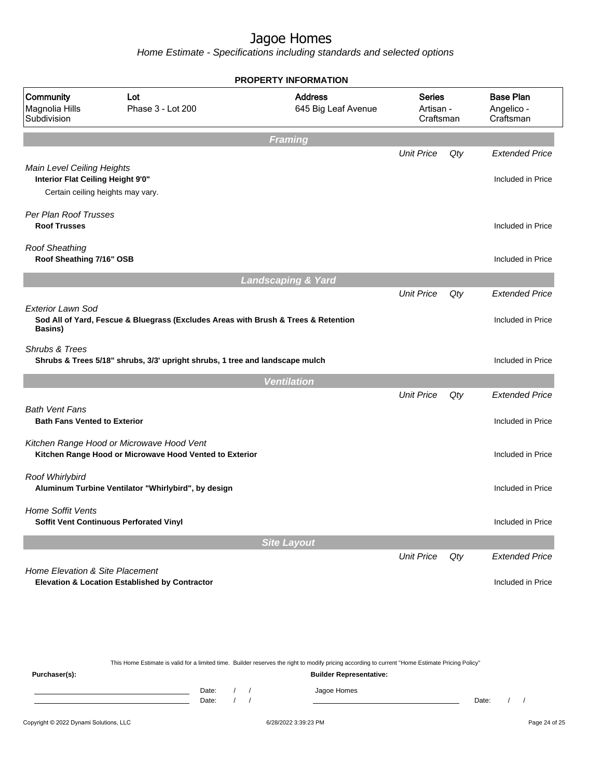Home Estimate - Specifications including standards and selected options

|                                                                                                      |                                                                                                      | <b>PROPERTY INFORMATION</b>           |                                         |                                    |                                             |  |
|------------------------------------------------------------------------------------------------------|------------------------------------------------------------------------------------------------------|---------------------------------------|-----------------------------------------|------------------------------------|---------------------------------------------|--|
| Community<br>Magnolia Hills<br>Subdivision                                                           | Lot<br>Phase 3 - Lot 200                                                                             | <b>Address</b><br>645 Big Leaf Avenue | <b>Series</b><br>Artisan -<br>Craftsman |                                    | <b>Base Plan</b><br>Angelico -<br>Craftsman |  |
|                                                                                                      |                                                                                                      | <b>Framing</b>                        |                                         |                                    |                                             |  |
|                                                                                                      |                                                                                                      |                                       | <b>Unit Price</b>                       | Qty                                | <b>Extended Price</b>                       |  |
| Main Level Ceiling Heights<br>Interior Flat Ceiling Height 9'0"<br>Certain ceiling heights may vary. |                                                                                                      |                                       |                                         |                                    | Included in Price                           |  |
| Per Plan Roof Trusses                                                                                |                                                                                                      |                                       |                                         |                                    |                                             |  |
| <b>Roof Trusses</b>                                                                                  |                                                                                                      |                                       |                                         |                                    | Included in Price                           |  |
| <b>Roof Sheathing</b><br>Roof Sheathing 7/16" OSB                                                    |                                                                                                      |                                       |                                         |                                    | Included in Price                           |  |
|                                                                                                      |                                                                                                      | <b>Landscaping &amp; Yard</b>         |                                         |                                    |                                             |  |
|                                                                                                      |                                                                                                      |                                       | <b>Unit Price</b>                       | Qty                                | <b>Extended Price</b>                       |  |
| Exterior Lawn Sod<br><b>Basins</b> )                                                                 | Sod All of Yard, Fescue & Bluegrass (Excludes Areas with Brush & Trees & Retention                   |                                       |                                         |                                    | Included in Price                           |  |
| Shrubs & Trees                                                                                       | Shrubs & Trees 5/18" shrubs, 3/3' upright shrubs, 1 tree and landscape mulch                         |                                       |                                         |                                    | Included in Price                           |  |
|                                                                                                      |                                                                                                      | <b>Ventilation</b>                    |                                         |                                    |                                             |  |
|                                                                                                      |                                                                                                      |                                       | <b>Unit Price</b>                       | Qty                                | <b>Extended Price</b>                       |  |
| <b>Bath Vent Fans</b><br><b>Bath Fans Vented to Exterior</b>                                         |                                                                                                      |                                       |                                         |                                    | Included in Price                           |  |
|                                                                                                      | Kitchen Range Hood or Microwave Hood Vent<br>Kitchen Range Hood or Microwave Hood Vented to Exterior |                                       |                                         |                                    | Included in Price                           |  |
| Roof Whirlybird                                                                                      | Aluminum Turbine Ventilator "Whirlybird", by design                                                  |                                       |                                         |                                    | Included in Price                           |  |
| <b>Home Soffit Vents</b>                                                                             | Soffit Vent Continuous Perforated Vinyl                                                              |                                       |                                         |                                    | Included in Price                           |  |
|                                                                                                      |                                                                                                      | <b>Site Layout</b>                    |                                         |                                    |                                             |  |
|                                                                                                      |                                                                                                      |                                       | <b>Unit Price</b>                       | $\mathsf{Q} \mathit{t} \mathit{y}$ | <b>Extended Price</b>                       |  |
| Home Elevation & Site Placement                                                                      | <b>Elevation &amp; Location Established by Contractor</b>                                            |                                       |                                         |                                    | Included in Price                           |  |

This Home Estimate is valid for a limited time. Builder reserves the right to modify pricing according to current "Home Estimate Pricing Policy" **Purchaser(s): Builder Representative:** Date: / / Jagoe Homes<br>Date: / / Jagoe Homes Date: / / Date: / /